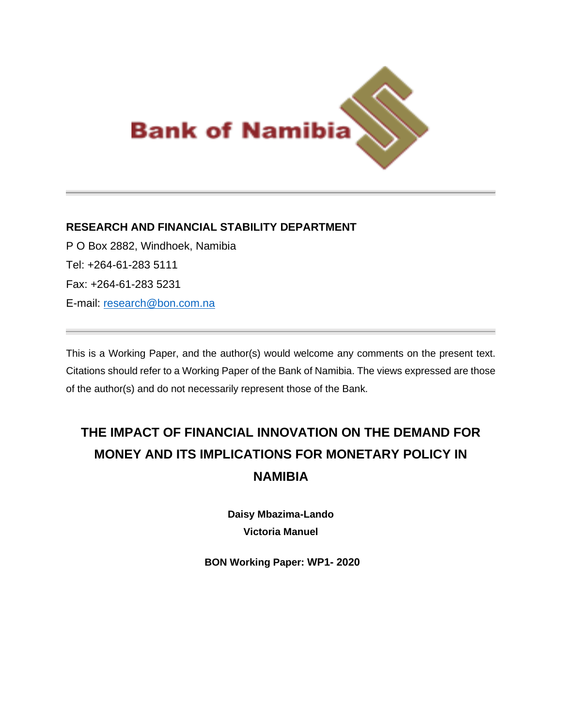

# **RESEARCH AND FINANCIAL STABILITY DEPARTMENT**

P O Box 2882, Windhoek, Namibia Tel: +264-61-283 5111 Fax: +264-61-283 5231 E-mail: [research@bon.com.na](mailto:research@bon.com.na)

This is a Working Paper, and the author(s) would welcome any comments on the present text. Citations should refer to a Working Paper of the Bank of Namibia. The views expressed are those of the author(s) and do not necessarily represent those of the Bank.

# **THE IMPACT OF FINANCIAL INNOVATION ON THE DEMAND FOR MONEY AND ITS IMPLICATIONS FOR MONETARY POLICY IN NAMIBIA**

**Daisy Mbazima-Lando Victoria Manuel**

**BON Working Paper: WP1- 2020**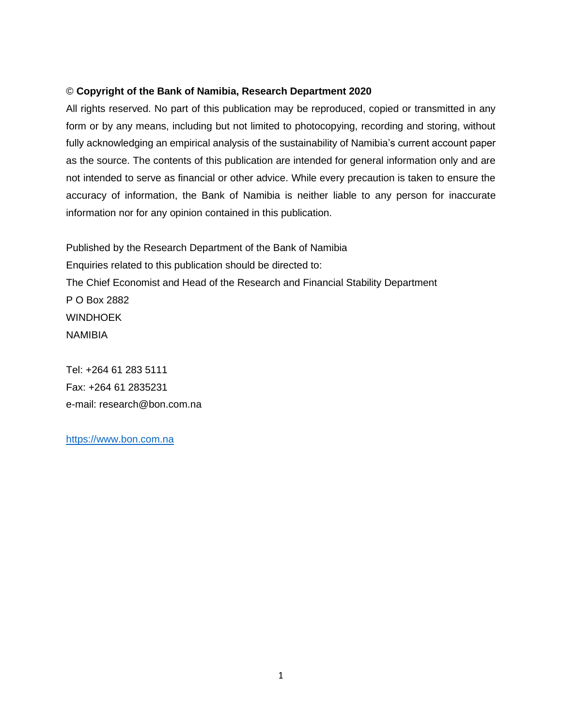### © **Copyright of the Bank of Namibia, Research Department 2020**

All rights reserved. No part of this publication may be reproduced, copied or transmitted in any form or by any means, including but not limited to photocopying, recording and storing, without fully acknowledging an empirical analysis of the sustainability of Namibia's current account paper as the source. The contents of this publication are intended for general information only and are not intended to serve as financial or other advice. While every precaution is taken to ensure the accuracy of information, the Bank of Namibia is neither liable to any person for inaccurate information nor for any opinion contained in this publication.

Published by the Research Department of the Bank of Namibia Enquiries related to this publication should be directed to: The Chief Economist and Head of the Research and Financial Stability Department P O Box 2882 **WINDHOEK** NAMIBIA

Tel: +264 61 283 5111 Fax: +264 61 2835231 e-mail: [research@bon.com.na](mailto:research@bon.com.na)

[https://www.bon.com.na](https://www.bon.com.na/)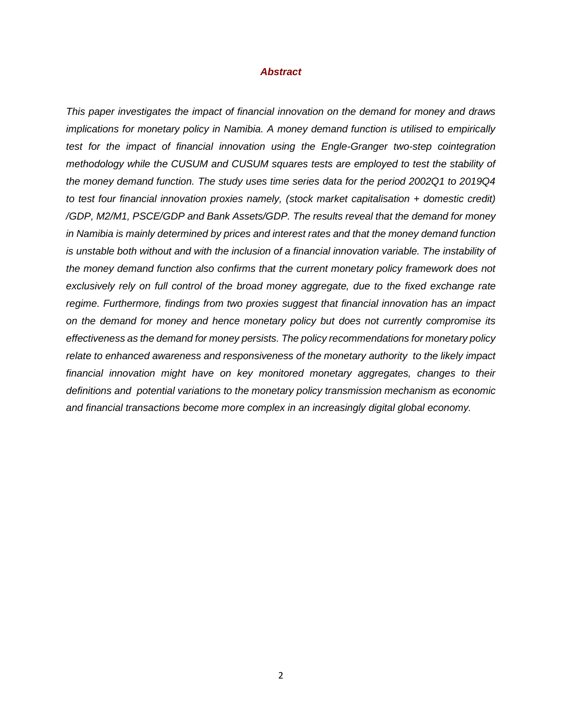#### *Abstract*

*This paper investigates the impact of financial innovation on the demand for money and draws implications for monetary policy in Namibia. A money demand function is utilised to empirically test for the impact of financial innovation using the Engle-Granger two-step cointegration methodology while the CUSUM and CUSUM squares tests are employed to test the stability of the money demand function. The study uses time series data for the period 2002Q1 to 2019Q4 to test four financial innovation proxies namely, (stock market capitalisation + domestic credit) /GDP, M2/M1, PSCE/GDP and Bank Assets/GDP. The results reveal that the demand for money in Namibia is mainly determined by prices and interest rates and that the money demand function is unstable both without and with the inclusion of a financial innovation variable. The instability of the money demand function also confirms that the current monetary policy framework does not exclusively rely on full control of the broad money aggregate, due to the fixed exchange rate regime. Furthermore, findings from two proxies suggest that financial innovation has an impact on the demand for money and hence monetary policy but does not currently compromise its effectiveness as the demand for money persists. The policy recommendations for monetary policy relate to enhanced awareness and responsiveness of the monetary authority to the likely impact financial innovation might have on key monitored monetary aggregates, changes to their definitions and potential variations to the monetary policy transmission mechanism as economic and financial transactions become more complex in an increasingly digital global economy.*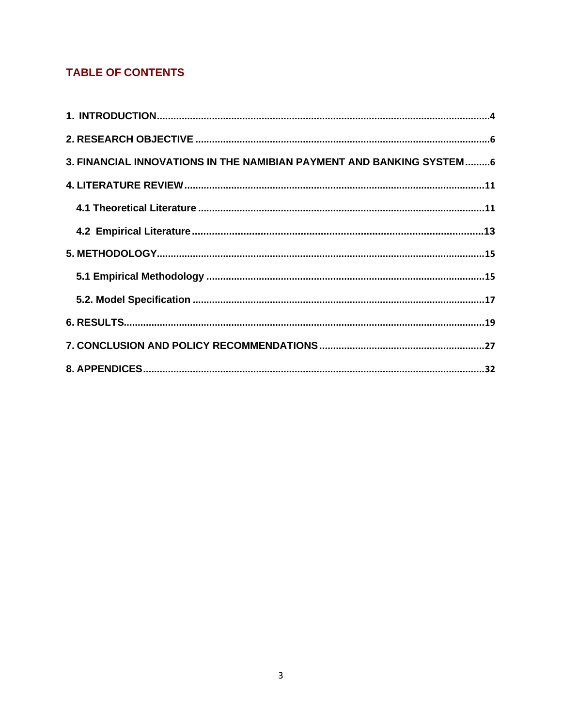# **TABLE OF CONTENTS**

| 3. FINANCIAL INNOVATIONS IN THE NAMIBIAN PAYMENT AND BANKING SYSTEM6 |  |
|----------------------------------------------------------------------|--|
|                                                                      |  |
|                                                                      |  |
|                                                                      |  |
|                                                                      |  |
|                                                                      |  |
|                                                                      |  |
|                                                                      |  |
|                                                                      |  |
|                                                                      |  |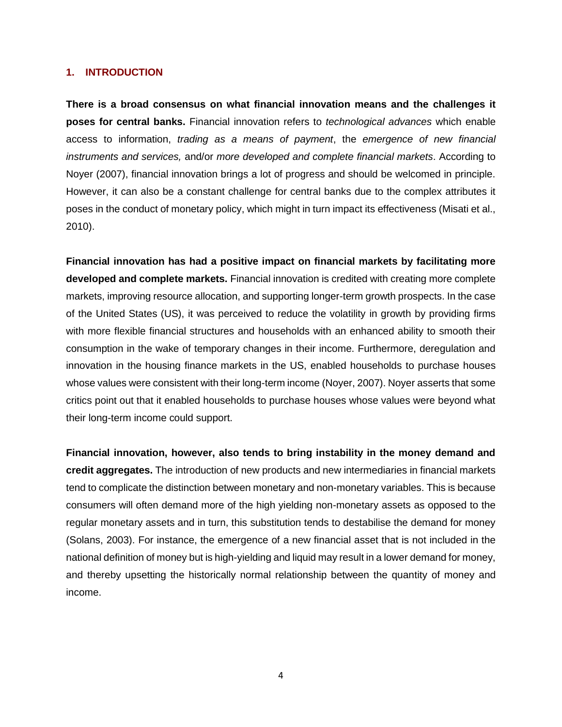### <span id="page-4-0"></span>**1. INTRODUCTION**

**There is a broad consensus on what financial innovation means and the challenges it poses for central banks.** Financial innovation refers to *technological advances* which enable access to information, *trading as a means of payment*, the *emergence of new financial instruments and services,* and/or *more developed and complete financial markets*. According to Noyer (2007), financial innovation brings a lot of progress and should be welcomed in principle. However, it can also be a constant challenge for central banks due to the complex attributes it poses in the conduct of monetary policy, which might in turn impact its effectiveness (Misati et al., 2010).

**Financial innovation has had a positive impact on financial markets by facilitating more developed and complete markets.** Financial innovation is credited with creating more complete markets, improving resource allocation, and supporting longer-term growth prospects. In the case of the United States (US), it was perceived to reduce the volatility in growth by providing firms with more flexible financial structures and households with an enhanced ability to smooth their consumption in the wake of temporary changes in their income. Furthermore, deregulation and innovation in the housing finance markets in the US, enabled households to purchase houses whose values were consistent with their long-term income (Noyer, 2007). Noyer asserts that some critics point out that it enabled households to purchase houses whose values were beyond what their long-term income could support.

**Financial innovation, however, also tends to bring instability in the money demand and credit aggregates.** The introduction of new products and new intermediaries in financial markets tend to complicate the distinction between monetary and non-monetary variables. This is because consumers will often demand more of the high yielding non-monetary assets as opposed to the regular monetary assets and in turn, this substitution tends to destabilise the demand for money (Solans, 2003). For instance, the emergence of a new financial asset that is not included in the national definition of money but is high-yielding and liquid may result in a lower demand for money, and thereby upsetting the historically normal relationship between the quantity of money and income.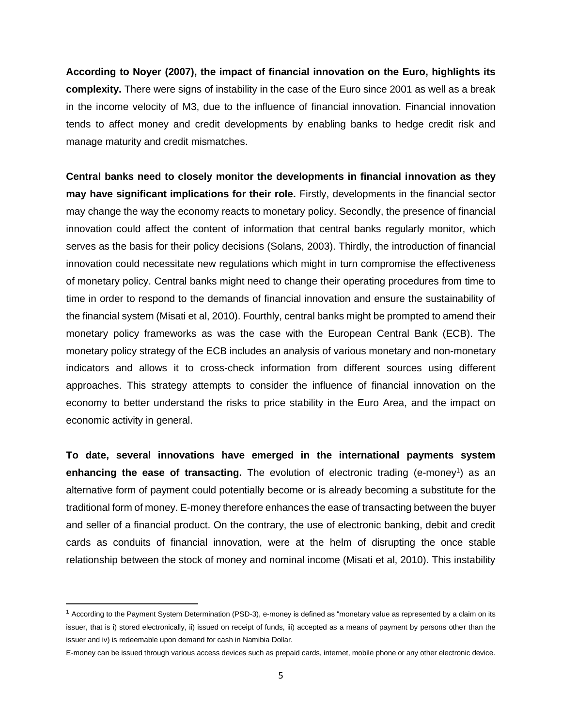**According to Noyer (2007), the impact of financial innovation on the Euro, highlights its complexity.** There were signs of instability in the case of the Euro since 2001 as well as a break in the income velocity of M3, due to the influence of financial innovation. Financial innovation tends to affect money and credit developments by enabling banks to hedge credit risk and manage maturity and credit mismatches.

**Central banks need to closely monitor the developments in financial innovation as they may have significant implications for their role.** Firstly, developments in the financial sector may change the way the economy reacts to monetary policy. Secondly, the presence of financial innovation could affect the content of information that central banks regularly monitor, which serves as the basis for their policy decisions (Solans, 2003). Thirdly, the introduction of financial innovation could necessitate new regulations which might in turn compromise the effectiveness of monetary policy. Central banks might need to change their operating procedures from time to time in order to respond to the demands of financial innovation and ensure the sustainability of the financial system (Misati et al, 2010). Fourthly, central banks might be prompted to amend their monetary policy frameworks as was the case with the European Central Bank (ECB). The monetary policy strategy of the ECB includes an analysis of various monetary and non-monetary indicators and allows it to cross-check information from different sources using different approaches. This strategy attempts to consider the influence of financial innovation on the economy to better understand the risks to price stability in the Euro Area, and the impact on economic activity in general.

**To date, several innovations have emerged in the international payments system**  enhancing the ease of transacting. The evolution of electronic trading (e-money<sup>1</sup>) as an alternative form of payment could potentially become or is already becoming a substitute for the traditional form of money. E-money therefore enhances the ease of transacting between the buyer and seller of a financial product. On the contrary, the use of electronic banking, debit and credit cards as conduits of financial innovation, were at the helm of disrupting the once stable relationship between the stock of money and nominal income (Misati et al, 2010). This instability

<sup>1</sup> According to the Payment System Determination (PSD-3), e-money is defined as "monetary value as represented by a claim on its issuer, that is i) stored electronically, ii) issued on receipt of funds, iii) accepted as a means of payment by persons other than the issuer and iv) is redeemable upon demand for cash in Namibia Dollar.

E-money can be issued through various access devices such as prepaid cards, internet, mobile phone or any other electronic device.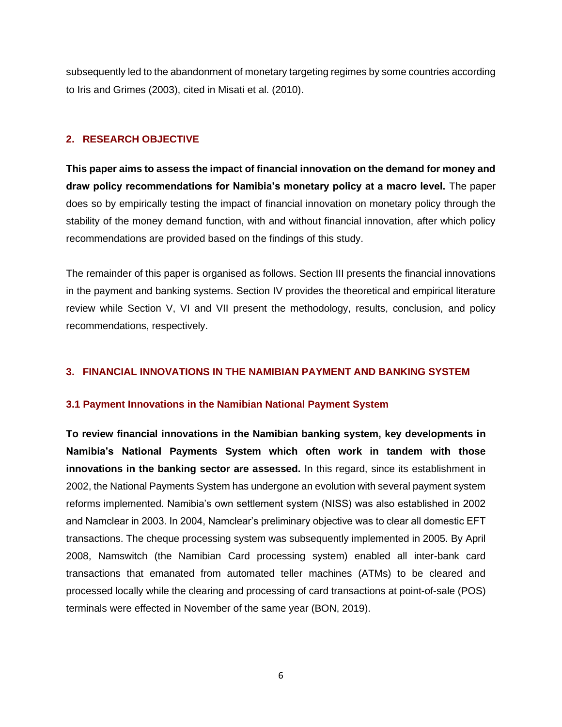subsequently led to the abandonment of monetary targeting regimes by some countries according to Iris and Grimes (2003), cited in Misati et al. (2010).

# <span id="page-6-0"></span>**2. RESEARCH OBJECTIVE**

**This paper aims to assess the impact of financial innovation on the demand for money and draw policy recommendations for Namibia's monetary policy at a macro level.** The paper does so by empirically testing the impact of financial innovation on monetary policy through the stability of the money demand function, with and without financial innovation, after which policy recommendations are provided based on the findings of this study.

The remainder of this paper is organised as follows. Section III presents the financial innovations in the payment and banking systems. Section IV provides the theoretical and empirical literature review while Section V, VI and VII present the methodology, results, conclusion, and policy recommendations, respectively.

### <span id="page-6-1"></span>**3. FINANCIAL INNOVATIONS IN THE NAMIBIAN PAYMENT AND BANKING SYSTEM**

### **3.1 Payment Innovations in the Namibian National Payment System**

**To review financial innovations in the Namibian banking system, key developments in Namibia's National Payments System which often work in tandem with those innovations in the banking sector are assessed.** In this regard, since its establishment in 2002, the National Payments System has undergone an evolution with several payment system reforms implemented. Namibia's own settlement system (NISS) was also established in 2002 and Namclear in 2003. In 2004, Namclear's preliminary objective was to clear all domestic EFT transactions. The cheque processing system was subsequently implemented in 2005. By April 2008, Namswitch (the Namibian Card processing system) enabled all inter-bank card transactions that emanated from automated teller machines (ATMs) to be cleared and processed locally while the clearing and processing of card transactions at point-of-sale (POS) terminals were effected in November of the same year (BON, 2019).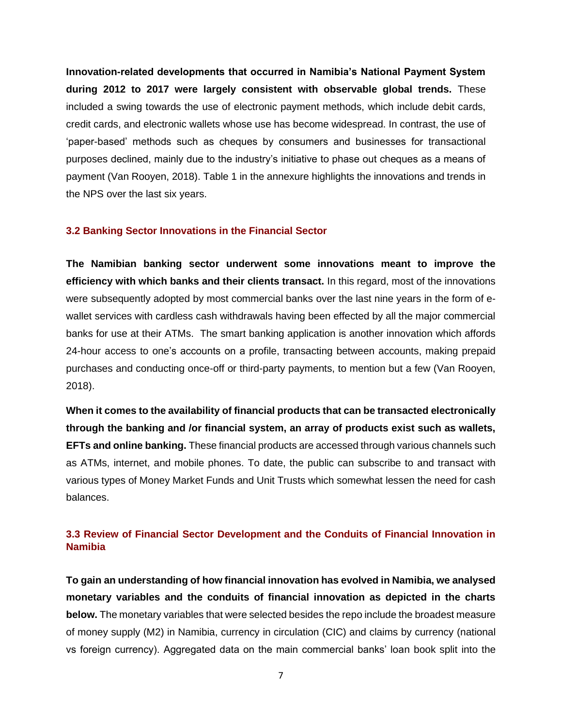**Innovation-related developments that occurred in Namibia's National Payment System during 2012 to 2017 were largely consistent with observable global trends.** These included a swing towards the use of electronic payment methods, which include debit cards, credit cards, and electronic wallets whose use has become widespread. In contrast, the use of 'paper-based' methods such as cheques by consumers and businesses for transactional purposes declined, mainly due to the industry's initiative to phase out cheques as a means of payment (Van Rooyen, 2018). Table 1 in the annexure highlights the innovations and trends in the NPS over the last six years.

### **3.2 Banking Sector Innovations in the Financial Sector**

**The Namibian banking sector underwent some innovations meant to improve the efficiency with which banks and their clients transact.** In this regard, most of the innovations were subsequently adopted by most commercial banks over the last nine years in the form of ewallet services with cardless cash withdrawals having been effected by all the major commercial banks for use at their ATMs. The smart banking application is another innovation which affords 24-hour access to one's accounts on a profile, transacting between accounts, making prepaid purchases and conducting once-off or third-party payments, to mention but a few (Van Rooyen, 2018).

**When it comes to the availability of financial products that can be transacted electronically through the banking and /or financial system, an array of products exist such as wallets, EFTs and online banking.** These financial products are accessed through various channels such as ATMs, internet, and mobile phones. To date, the public can subscribe to and transact with various types of Money Market Funds and Unit Trusts which somewhat lessen the need for cash balances.

# **3.3 Review of Financial Sector Development and the Conduits of Financial Innovation in Namibia**

**To gain an understanding of how financial innovation has evolved in Namibia, we analysed monetary variables and the conduits of financial innovation as depicted in the charts below.** The monetary variables that were selected besides the repo include the broadest measure of money supply (M2) in Namibia, currency in circulation (CIC) and claims by currency (national vs foreign currency). Aggregated data on the main commercial banks' loan book split into the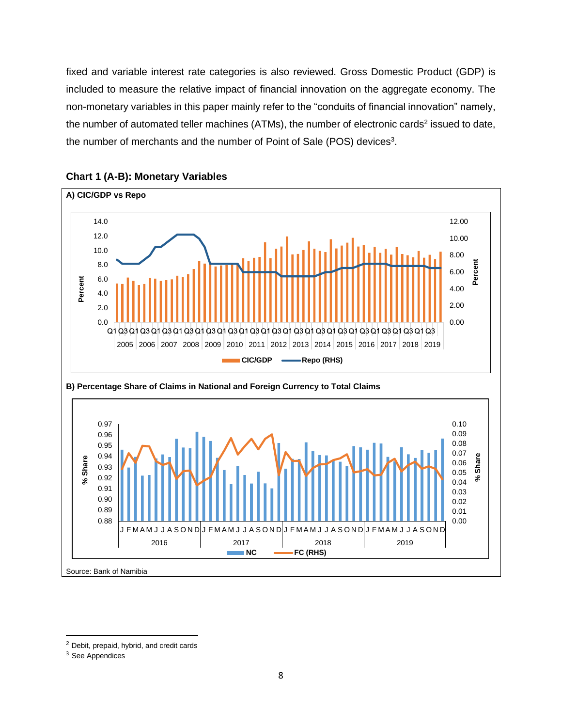fixed and variable interest rate categories is also reviewed. Gross Domestic Product (GDP) is included to measure the relative impact of financial innovation on the aggregate economy. The non-monetary variables in this paper mainly refer to the "conduits of financial innovation" namely, the number of automated teller machines (ATMs), the number of electronic cards<sup>2</sup> issued to date, the number of merchants and the number of Point of Sale (POS) devices<sup>3</sup>.





<sup>2</sup> Debit, prepaid, hybrid, and credit cards

<sup>&</sup>lt;sup>3</sup> See Appendices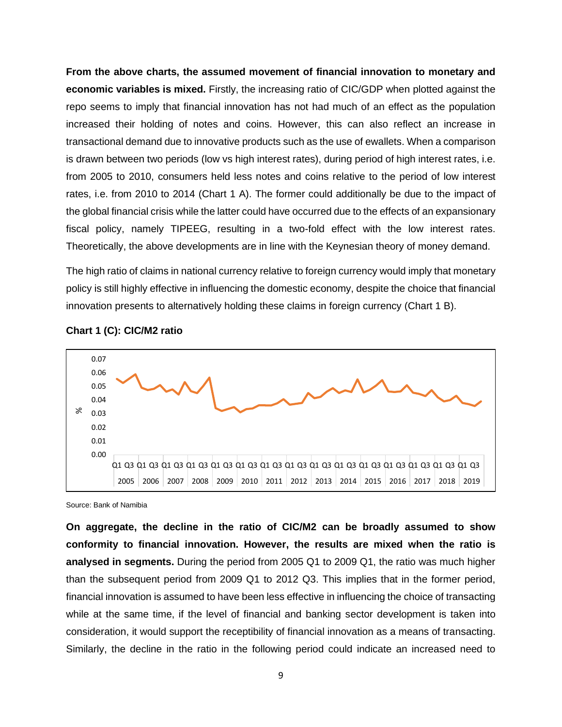**From the above charts, the assumed movement of financial innovation to monetary and economic variables is mixed.** Firstly, the increasing ratio of CIC/GDP when plotted against the repo seems to imply that financial innovation has not had much of an effect as the population increased their holding of notes and coins. However, this can also reflect an increase in transactional demand due to innovative products such as the use of ewallets. When a comparison is drawn between two periods (low vs high interest rates), during period of high interest rates, i.e. from 2005 to 2010, consumers held less notes and coins relative to the period of low interest rates, i.e. from 2010 to 2014 (Chart 1 A). The former could additionally be due to the impact of the global financial crisis while the latter could have occurred due to the effects of an expansionary fiscal policy, namely TIPEEG, resulting in a two-fold effect with the low interest rates. Theoretically, the above developments are in line with the Keynesian theory of money demand.

The high ratio of claims in national currency relative to foreign currency would imply that monetary policy is still highly effective in influencing the domestic economy, despite the choice that financial innovation presents to alternatively holding these claims in foreign currency (Chart 1 B).



**Chart 1 (C): CIC/M2 ratio**

Source: Bank of Namibia

**On aggregate, the decline in the ratio of CIC/M2 can be broadly assumed to show conformity to financial innovation. However, the results are mixed when the ratio is analysed in segments.** During the period from 2005 Q1 to 2009 Q1, the ratio was much higher than the subsequent period from 2009 Q1 to 2012 Q3. This implies that in the former period, financial innovation is assumed to have been less effective in influencing the choice of transacting while at the same time, if the level of financial and banking sector development is taken into consideration, it would support the receptibility of financial innovation as a means of transacting. Similarly, the decline in the ratio in the following period could indicate an increased need to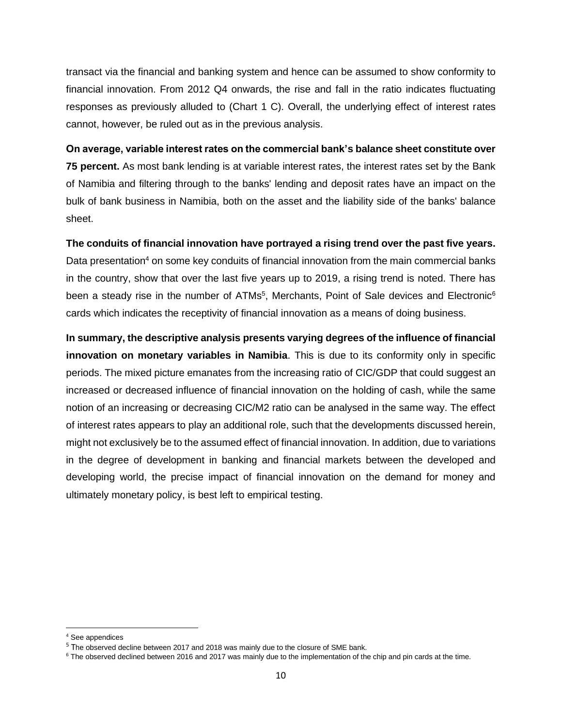transact via the financial and banking system and hence can be assumed to show conformity to financial innovation. From 2012 Q4 onwards, the rise and fall in the ratio indicates fluctuating responses as previously alluded to (Chart 1 C). Overall, the underlying effect of interest rates cannot, however, be ruled out as in the previous analysis.

**On average, variable interest rates on the commercial bank's balance sheet constitute over 75 percent.** As most bank lending is at variable interest rates, the interest rates set by the Bank of Namibia and filtering through to the banks' lending and deposit rates have an impact on the bulk of bank business in Namibia, both on the asset and the liability side of the banks' balance sheet.

**The conduits of financial innovation have portrayed a rising trend over the past five years.** Data presentation<sup>4</sup> on some key conduits of financial innovation from the main commercial banks in the country, show that over the last five years up to 2019, a rising trend is noted. There has been a steady rise in the number of ATMs<sup>5</sup>, Merchants, Point of Sale devices and Electronic<sup>6</sup> cards which indicates the receptivity of financial innovation as a means of doing business.

**In summary, the descriptive analysis presents varying degrees of the influence of financial innovation on monetary variables in Namibia**. This is due to its conformity only in specific periods. The mixed picture emanates from the increasing ratio of CIC/GDP that could suggest an increased or decreased influence of financial innovation on the holding of cash, while the same notion of an increasing or decreasing CIC/M2 ratio can be analysed in the same way. The effect of interest rates appears to play an additional role, such that the developments discussed herein, might not exclusively be to the assumed effect of financial innovation. In addition, due to variations in the degree of development in banking and financial markets between the developed and developing world, the precise impact of financial innovation on the demand for money and ultimately monetary policy, is best left to empirical testing.

<sup>4</sup> See appendices

<sup>&</sup>lt;sup>5</sup> The observed decline between 2017 and 2018 was mainly due to the closure of SME bank.

<sup>&</sup>lt;sup>6</sup> The observed declined between 2016 and 2017 was mainly due to the implementation of the chip and pin cards at the time.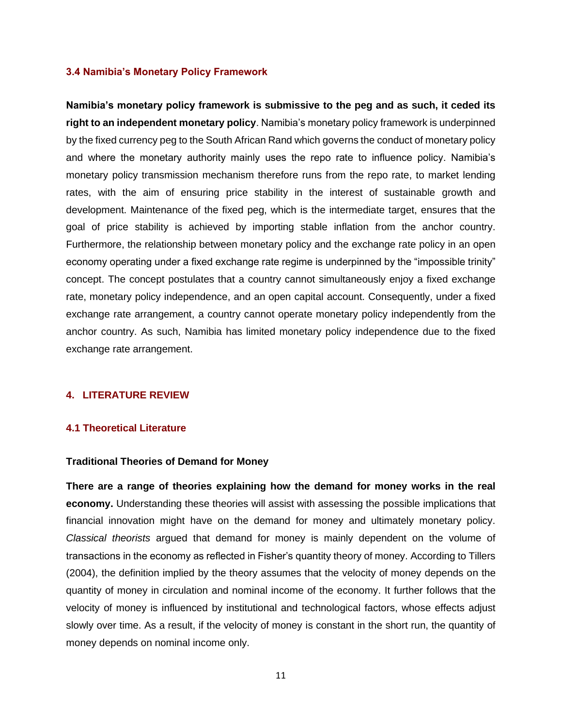### **3.4 Namibia's Monetary Policy Framework**

**Namibia's monetary policy framework is submissive to the peg and as such, it ceded its right to an independent monetary policy**. Namibia's monetary policy framework is underpinned by the fixed currency peg to the South African Rand which governs the conduct of monetary policy and where the monetary authority mainly uses the repo rate to influence policy. Namibia's monetary policy transmission mechanism therefore runs from the repo rate, to market lending rates, with the aim of ensuring price stability in the interest of sustainable growth and development. Maintenance of the fixed peg, which is the intermediate target, ensures that the goal of price stability is achieved by importing stable inflation from the anchor country. Furthermore, the relationship between monetary policy and the exchange rate policy in an open economy operating under a fixed exchange rate regime is underpinned by the "impossible trinity" concept. The concept postulates that a country cannot simultaneously enjoy a fixed exchange rate, monetary policy independence, and an open capital account. Consequently, under a fixed exchange rate arrangement, a country cannot operate monetary policy independently from the anchor country. As such, Namibia has limited monetary policy independence due to the fixed exchange rate arrangement.

### <span id="page-11-0"></span>**4. LITERATURE REVIEW**

#### <span id="page-11-1"></span>**4.1 Theoretical Literature**

#### **Traditional Theories of Demand for Money**

**There are a range of theories explaining how the demand for money works in the real economy.** Understanding these theories will assist with assessing the possible implications that financial innovation might have on the demand for money and ultimately monetary policy. *Classical theorists* argued that demand for money is mainly dependent on the volume of transactions in the economy as reflected in Fisher's quantity theory of money. According to Tillers (2004), the definition implied by the theory assumes that the velocity of money depends on the quantity of money in circulation and nominal income of the economy. It further follows that the velocity of money is influenced by institutional and technological factors, whose effects adjust slowly over time. As a result, if the velocity of money is constant in the short run, the quantity of money depends on nominal income only.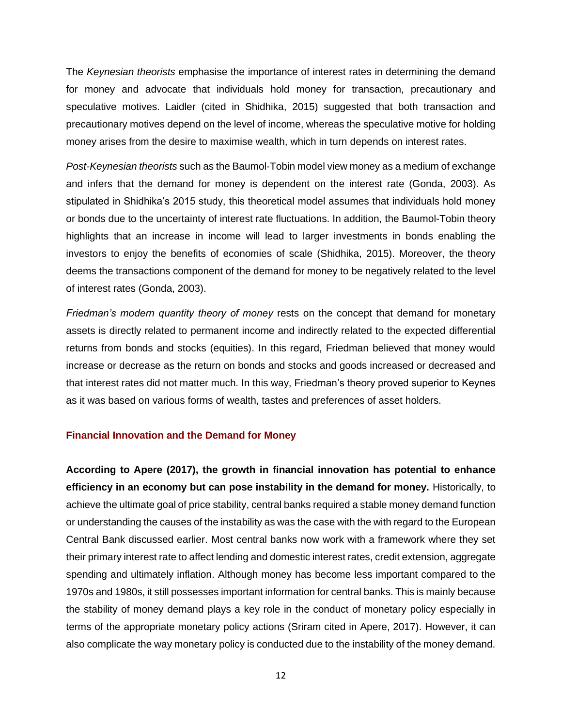The *Keynesian theorists* emphasise the importance of interest rates in determining the demand for money and advocate that individuals hold money for transaction, precautionary and speculative motives. Laidler (cited in Shidhika, 2015) suggested that both transaction and precautionary motives depend on the level of income, whereas the speculative motive for holding money arises from the desire to maximise wealth, which in turn depends on interest rates.

*Post-Keynesian theorists* such as the Baumol-Tobin model view money as a medium of exchange and infers that the demand for money is dependent on the interest rate (Gonda, 2003). As stipulated in Shidhika's 2015 study, this theoretical model assumes that individuals hold money or bonds due to the uncertainty of interest rate fluctuations. In addition, the Baumol-Tobin theory highlights that an increase in income will lead to larger investments in bonds enabling the investors to enjoy the benefits of economies of scale (Shidhika, 2015). Moreover, the theory deems the transactions component of the demand for money to be negatively related to the level of interest rates (Gonda, 2003).

*Friedman's modern quantity theory of money* rests on the concept that demand for monetary assets is directly related to permanent income and indirectly related to the expected differential returns from bonds and stocks (equities). In this regard, Friedman believed that money would increase or decrease as the return on bonds and stocks and goods increased or decreased and that interest rates did not matter much. In this way, Friedman's theory proved superior to Keynes as it was based on various forms of wealth, tastes and preferences of asset holders.

### **Financial Innovation and the Demand for Money**

**According to Apere (2017), the growth in financial innovation has potential to enhance efficiency in an economy but can pose instability in the demand for money.** Historically, to achieve the ultimate goal of price stability, central banks required a stable money demand function or understanding the causes of the instability as was the case with the with regard to the European Central Bank discussed earlier. Most central banks now work with a framework where they set their primary interest rate to affect lending and domestic interest rates, credit extension, aggregate spending and ultimately inflation. Although money has become less important compared to the 1970s and 1980s, it still possesses important information for central banks. This is mainly because the stability of money demand plays a key role in the conduct of monetary policy especially in terms of the appropriate monetary policy actions (Sriram cited in Apere, 2017). However, it can also complicate the way monetary policy is conducted due to the instability of the money demand.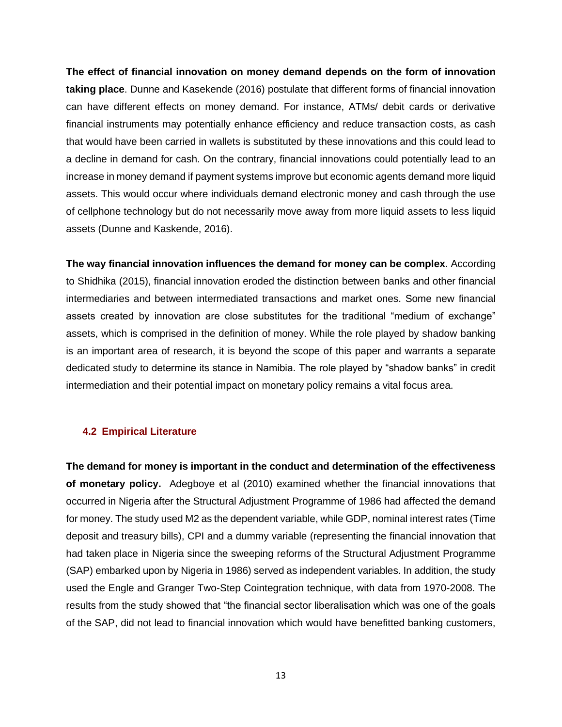**The effect of financial innovation on money demand depends on the form of innovation taking place**. Dunne and Kasekende (2016) postulate that different forms of financial innovation can have different effects on money demand. For instance, ATMs/ debit cards or derivative financial instruments may potentially enhance efficiency and reduce transaction costs, as cash that would have been carried in wallets is substituted by these innovations and this could lead to a decline in demand for cash. On the contrary, financial innovations could potentially lead to an increase in money demand if payment systems improve but economic agents demand more liquid assets. This would occur where individuals demand electronic money and cash through the use of cellphone technology but do not necessarily move away from more liquid assets to less liquid assets (Dunne and Kaskende, 2016).

**The way financial innovation influences the demand for money can be complex**. According to Shidhika (2015), financial innovation eroded the distinction between banks and other financial intermediaries and between intermediated transactions and market ones. Some new financial assets created by innovation are close substitutes for the traditional "medium of exchange" assets, which is comprised in the definition of money. While the role played by shadow banking is an important area of research, it is beyond the scope of this paper and warrants a separate dedicated study to determine its stance in Namibia. The role played by "shadow banks" in credit intermediation and their potential impact on monetary policy remains a vital focus area.

### <span id="page-13-0"></span>**4.2 Empirical Literature**

**The demand for money is important in the conduct and determination of the effectiveness of monetary policy.** Adegboye et al (2010) examined whether the financial innovations that occurred in Nigeria after the Structural Adjustment Programme of 1986 had affected the demand for money. The study used M2 as the dependent variable, while GDP, nominal interest rates (Time deposit and treasury bills), CPI and a dummy variable (representing the financial innovation that had taken place in Nigeria since the sweeping reforms of the Structural Adjustment Programme (SAP) embarked upon by Nigeria in 1986) served as independent variables. In addition, the study used the Engle and Granger Two-Step Cointegration technique, with data from 1970-2008. The results from the study showed that "the financial sector liberalisation which was one of the goals of the SAP, did not lead to financial innovation which would have benefitted banking customers,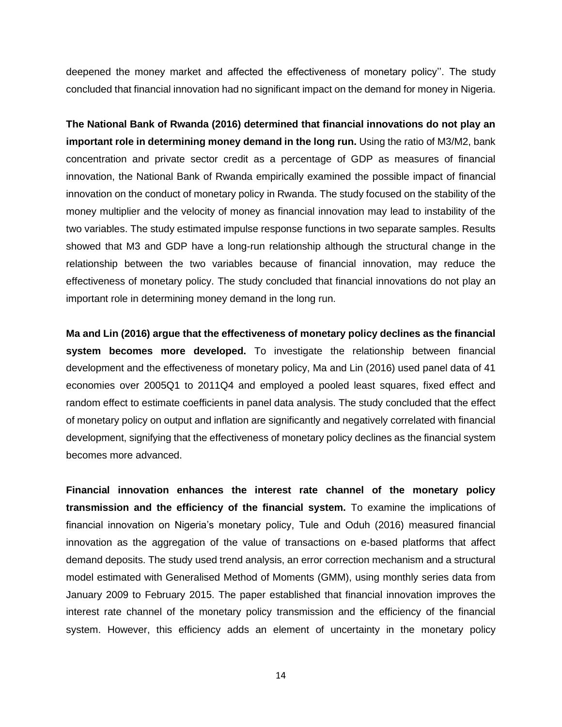deepened the money market and affected the effectiveness of monetary policy''. The study concluded that financial innovation had no significant impact on the demand for money in Nigeria.

**The National Bank of Rwanda (2016) determined that financial innovations do not play an important role in determining money demand in the long run.** Using the ratio of M3/M2, bank concentration and private sector credit as a percentage of GDP as measures of financial innovation, the National Bank of Rwanda empirically examined the possible impact of financial innovation on the conduct of monetary policy in Rwanda. The study focused on the stability of the money multiplier and the velocity of money as financial innovation may lead to instability of the two variables. The study estimated impulse response functions in two separate samples. Results showed that M3 and GDP have a long-run relationship although the structural change in the relationship between the two variables because of financial innovation, may reduce the effectiveness of monetary policy. The study concluded that financial innovations do not play an important role in determining money demand in the long run.

**Ma and Lin (2016) argue that the effectiveness of monetary policy declines as the financial system becomes more developed.** To investigate the relationship between financial development and the effectiveness of monetary policy, Ma and Lin (2016) used panel data of 41 economies over 2005Q1 to 2011Q4 and employed a pooled least squares, fixed effect and random effect to estimate coefficients in panel data analysis. The study concluded that the effect of monetary policy on output and inflation are significantly and negatively correlated with financial development, signifying that the effectiveness of monetary policy declines as the financial system becomes more advanced.

**Financial innovation enhances the interest rate channel of the monetary policy transmission and the efficiency of the financial system.** To examine the implications of financial innovation on Nigeria's monetary policy, Tule and Oduh (2016) measured financial innovation as the aggregation of the value of transactions on e-based platforms that affect demand deposits. The study used trend analysis, an error correction mechanism and a structural model estimated with Generalised Method of Moments (GMM), using monthly series data from January 2009 to February 2015. The paper established that financial innovation improves the interest rate channel of the monetary policy transmission and the efficiency of the financial system. However, this efficiency adds an element of uncertainty in the monetary policy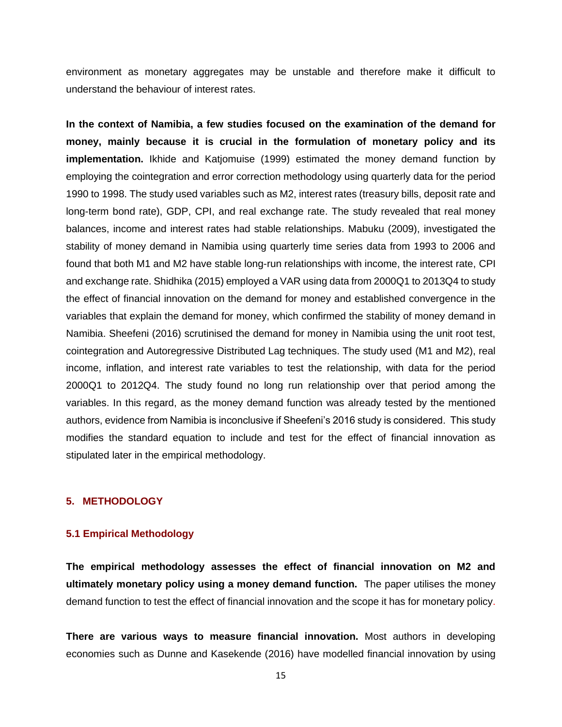environment as monetary aggregates may be unstable and therefore make it difficult to understand the behaviour of interest rates.

**In the context of Namibia, a few studies focused on the examination of the demand for money, mainly because it is crucial in the formulation of monetary policy and its implementation.** Ikhide and Katjomuise (1999) estimated the money demand function by employing the cointegration and error correction methodology using quarterly data for the period 1990 to 1998. The study used variables such as M2, interest rates (treasury bills, deposit rate and long-term bond rate), GDP, CPI, and real exchange rate. The study revealed that real money balances, income and interest rates had stable relationships. Mabuku (2009), investigated the stability of money demand in Namibia using quarterly time series data from 1993 to 2006 and found that both M1 and M2 have stable long-run relationships with income, the interest rate, CPI and exchange rate. Shidhika (2015) employed a VAR using data from 2000Q1 to 2013Q4 to study the effect of financial innovation on the demand for money and established convergence in the variables that explain the demand for money, which confirmed the stability of money demand in Namibia. Sheefeni (2016) scrutinised the demand for money in Namibia using the unit root test, cointegration and Autoregressive Distributed Lag techniques. The study used (M1 and M2), real income, inflation, and interest rate variables to test the relationship, with data for the period 2000Q1 to 2012Q4. The study found no long run relationship over that period among the variables. In this regard, as the money demand function was already tested by the mentioned authors, evidence from Namibia is inconclusive if Sheefeni's 2016 study is considered. This study modifies the standard equation to include and test for the effect of financial innovation as stipulated later in the empirical methodology.

### <span id="page-15-0"></span>**5. METHODOLOGY**

#### <span id="page-15-1"></span>**5.1 Empirical Methodology**

**The empirical methodology assesses the effect of financial innovation on M2 and ultimately monetary policy using a money demand function.** The paper utilises the money demand function to test the effect of financial innovation and the scope it has for monetary policy.

**There are various ways to measure financial innovation.** Most authors in developing economies such as Dunne and Kasekende (2016) have modelled financial innovation by using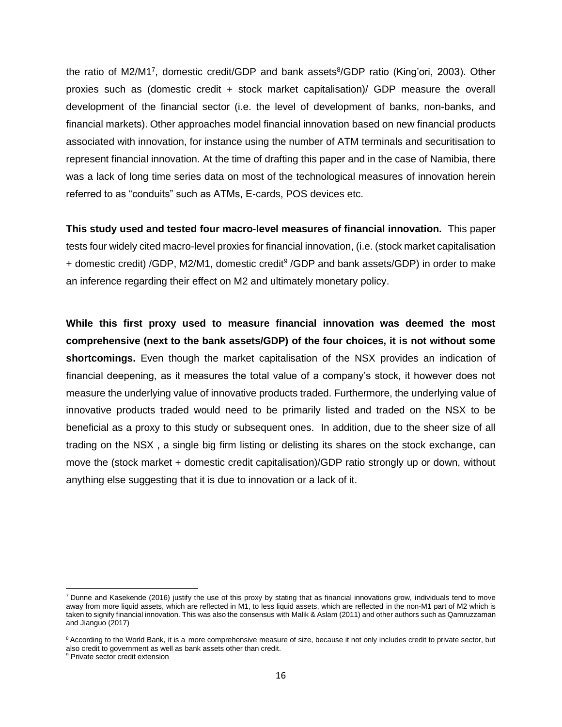the ratio of M2/M1<sup>7</sup>, domestic credit/GDP and bank assets<sup>8</sup>/GDP ratio (King'ori, 2003). Other proxies such as (domestic credit + stock market capitalisation)/ GDP measure the overall development of the financial sector (i.e. the level of development of banks, non-banks, and financial markets). Other approaches model financial innovation based on new financial products associated with innovation, for instance using the number of ATM terminals and securitisation to represent financial innovation. At the time of drafting this paper and in the case of Namibia, there was a lack of long time series data on most of the technological measures of innovation herein referred to as "conduits" such as ATMs, E-cards, POS devices etc.

**This study used and tested four macro-level measures of financial innovation.** This paper tests four widely cited macro-level proxies for financial innovation, (i.e. (stock market capitalisation + domestic credit) /GDP, M2/M1, domestic credit<sup>9</sup> /GDP and bank assets/GDP) in order to make an inference regarding their effect on M2 and ultimately monetary policy.

**While this first proxy used to measure financial innovation was deemed the most comprehensive (next to the bank assets/GDP) of the four choices, it is not without some shortcomings.** Even though the market capitalisation of the NSX provides an indication of financial deepening, as it measures the total value of a company's stock, it however does not measure the underlying value of innovative products traded. Furthermore, the underlying value of innovative products traded would need to be primarily listed and traded on the NSX to be beneficial as a proxy to this study or subsequent ones. In addition, due to the sheer size of all trading on the NSX , a single big firm listing or delisting its shares on the stock exchange, can move the (stock market + domestic credit capitalisation)/GDP ratio strongly up or down, without anything else suggesting that it is due to innovation or a lack of it.

 $<sup>7</sup>$  Dunne and Kasekende (2016) justify the use of this proxy by stating that as financial innovations grow, individuals tend to move</sup> away from more liquid assets, which are reflected in M1, to less liquid assets, which are reflected in the non-M1 part of M2 which is taken to signify financial innovation. This was also the consensus with Malik & Aslam (2011) and other authors such as Qamruzzaman and Jianguo (2017)

<sup>&</sup>lt;sup>8</sup> According to the World Bank, it is a more comprehensive measure of size, because it not only includes credit to private sector, but also credit to government as well as bank assets other than credit.

<sup>&</sup>lt;sup>9</sup> Private sector credit extension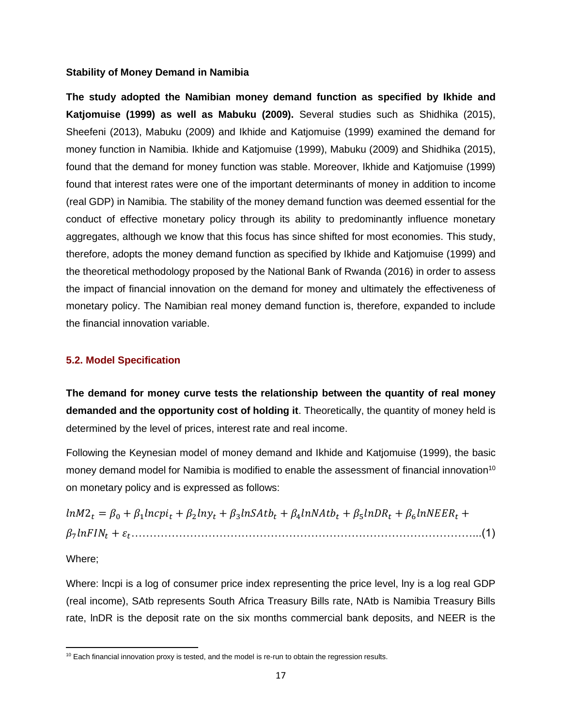#### **Stability of Money Demand in Namibia**

**The study adopted the Namibian money demand function as specified by Ikhide and Katjomuise (1999) as well as Mabuku (2009).** Several studies such as Shidhika (2015), Sheefeni (2013), Mabuku (2009) and Ikhide and Katjomuise (1999) examined the demand for money function in Namibia. Ikhide and Katjomuise (1999), Mabuku (2009) and Shidhika (2015), found that the demand for money function was stable. Moreover, Ikhide and Katjomuise (1999) found that interest rates were one of the important determinants of money in addition to income (real GDP) in Namibia. The stability of the money demand function was deemed essential for the conduct of effective monetary policy through its ability to predominantly influence monetary aggregates, although we know that this focus has since shifted for most economies. This study, therefore, adopts the money demand function as specified by Ikhide and Katjomuise (1999) and the theoretical methodology proposed by the National Bank of Rwanda (2016) in order to assess the impact of financial innovation on the demand for money and ultimately the effectiveness of monetary policy. The Namibian real money demand function is, therefore, expanded to include the financial innovation variable.

### <span id="page-17-0"></span>**5.2. Model Specification**

**The demand for money curve tests the relationship between the quantity of real money demanded and the opportunity cost of holding it**. Theoretically, the quantity of money held is determined by the level of prices, interest rate and real income.

Following the Keynesian model of money demand and Ikhide and Katjomuise (1999), the basic money demand model for Namibia is modified to enable the assessment of financial innovation<sup>10</sup> on monetary policy and is expressed as follows:

 $ln M2_t = \beta_0 + \beta_1 ln cpi_t + \beta_2 ln y_t + \beta_3 ln SAtb_t + \beta_4 ln NAtb_t + \beta_5 ln DR_t + \beta_6 ln N EER_t +$ 7 + …………………………………………………………………………………...(1)

Where;

Where: lncpi is a log of consumer price index representing the price level, lny is a log real GDP (real income), SAtb represents South Africa Treasury Bills rate, NAtb is Namibia Treasury Bills rate, lnDR is the deposit rate on the six months commercial bank deposits, and NEER is the

 $10$  Each financial innovation proxy is tested, and the model is re-run to obtain the regression results.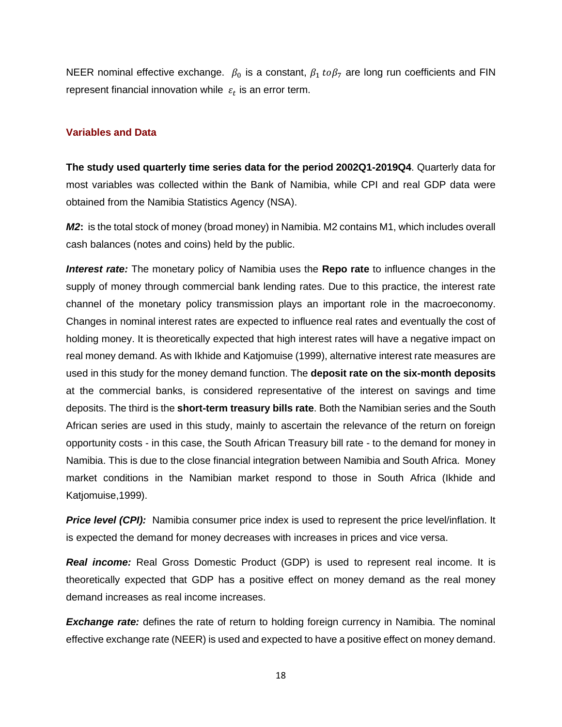NEER nominal effective exchange.  $\beta_0$  is a constant,  $\beta_1$  to $\beta_7$  are long run coefficients and FIN represent financial innovation while  $\varepsilon_t$  is an error term.

### **Variables and Data**

**The study used quarterly time series data for the period 2002Q1-2019Q4**. Quarterly data for most variables was collected within the Bank of Namibia, while CPI and real GDP data were obtained from the Namibia Statistics Agency (NSA).

*M2***:** is the total stock of money (broad money) in Namibia. M2 contains M1, which includes overall cash balances (notes and coins) held by the public.

*Interest rate:* The monetary policy of Namibia uses the **Repo rate** to influence changes in the supply of money through commercial bank lending rates. Due to this practice, the interest rate channel of the monetary policy transmission plays an important role in the macroeconomy. Changes in nominal interest rates are expected to influence real rates and eventually the cost of holding money. It is theoretically expected that high interest rates will have a negative impact on real money demand. As with Ikhide and Katjomuise (1999), alternative interest rate measures are used in this study for the money demand function. The **deposit rate on the six-month deposits**  at the commercial banks, is considered representative of the interest on savings and time deposits. The third is the **short-term treasury bills rate**. Both the Namibian series and the South African series are used in this study, mainly to ascertain the relevance of the return on foreign opportunity costs - in this case, the South African Treasury bill rate - to the demand for money in Namibia. This is due to the close financial integration between Namibia and South Africa. Money market conditions in the Namibian market respond to those in South Africa (Ikhide and Katjomuise,1999).

*Price level (CPI):* Namibia consumer price index is used to represent the price level/inflation. It is expected the demand for money decreases with increases in prices and vice versa.

*Real income:* Real Gross Domestic Product (GDP) is used to represent real income. It is theoretically expected that GDP has a positive effect on money demand as the real money demand increases as real income increases.

*Exchange rate:* defines the rate of return to holding foreign currency in Namibia. The nominal effective exchange rate (NEER) is used and expected to have a positive effect on money demand.

18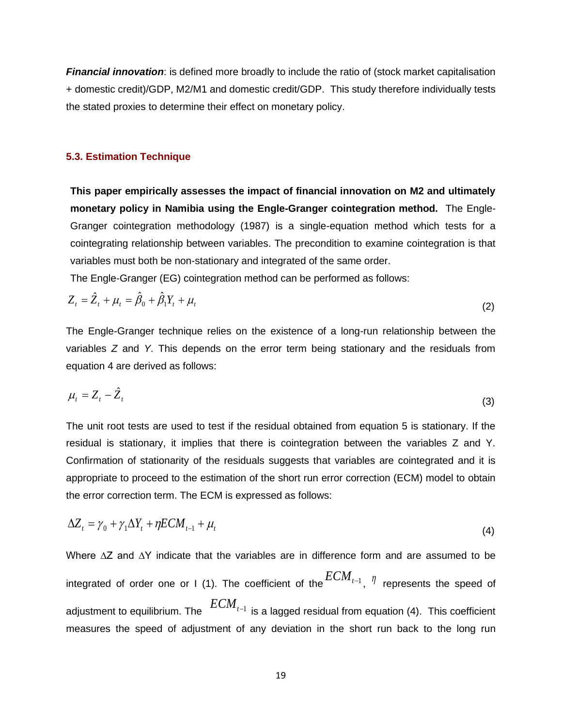*Financial innovation*: is defined more broadly to include the ratio of (stock market capitalisation + domestic credit)/GDP, M2/M1 and domestic credit/GDP. This study therefore individually tests the stated proxies to determine their effect on monetary policy.

### **5.3. Estimation Technique**

**This paper empirically assesses the impact of financial innovation on M2 and ultimately monetary policy in Namibia using the Engle-Granger cointegration method.** The Engle-Granger cointegration methodology (1987) is a single-equation method which tests for a cointegrating relationship between variables. The precondition to examine cointegration is that variables must both be non-stationary and integrated of the same order.

<span id="page-19-0"></span>The Engle-Granger (EG) cointegration method can be performed as follows:

$$
Z_{t} = \hat{Z}_{t} + \mu_{t} = \hat{\beta}_{0} + \hat{\beta}_{1}Y_{t} + \mu_{t}
$$
\n(2)

The Engle-Granger technique relies on the existence of a long-run relationship between the variables *Z* and *Y*. This depends on the error term being stationary and the residuals from equation 4 are derived as follows:

$$
\mu_t = Z_t - \hat{Z}_t \tag{3}
$$

The unit root tests are used to test if the residual obtained from equation 5 is stationary. If the residual is stationary, it implies that there is cointegration between the variables Z and Y. Confirmation of stationarity of the residuals suggests that variables are cointegrated and it is appropriate to proceed to the estimation of the short run error correction (ECM) model to obtain the error correction term. The ECM is expressed as follows:

$$
\Delta Z_t = \gamma_0 + \gamma_1 \Delta Y_t + \eta E C M_{t-1} + \mu_t \tag{4}
$$

Where ∆Z and ∆Y indicate that the variables are in difference form and are assumed to be integrated of order one or I (1). The coefficient of the  $ECM_{t-1}$  ,  $\eta$  represents the speed of adjustment to equilibrium. The *ECMt*−<sup>1</sup> is a lagged residual from equation (4). This coefficient measures the speed of adjustment of any deviation in the short run back to the long run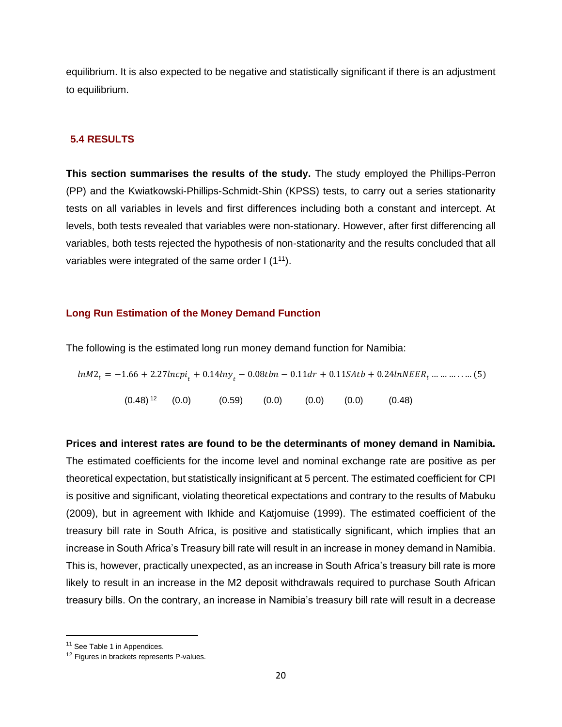equilibrium. It is also expected to be negative and statistically significant if there is an adjustment to equilibrium.

### **5.4 RESULTS**

**This section summarises the results of the study.** The study employed the Phillips-Perron (PP) and the Kwiatkowski-Phillips-Schmidt-Shin (KPSS) tests, to carry out a series stationarity tests on all variables in levels and first differences including both a constant and intercept. At levels, both tests revealed that variables were non-stationary. However, after first differencing all variables, both tests rejected the hypothesis of non-stationarity and the results concluded that all variables were integrated of the same order I (1<sup>11</sup>).

### **Long Run Estimation of the Money Demand Function**

The following is the estimated long run money demand function for Namibia:

$$
ln M2_t = -1.66 + 2.27ln cpi_t + 0.14ln y_t - 0.08tbn - 0.11dr + 0.11SAtb + 0.24lnNEER_t \dots \dots \dots \dots (5)
$$
  
(0.48)<sup>12</sup> (0.0) (0.59) (0.0) (0.0) (0.0) (0.48)

**Prices and interest rates are found to be the determinants of money demand in Namibia.** The estimated coefficients for the income level and nominal exchange rate are positive as per theoretical expectation, but statistically insignificant at 5 percent. The estimated coefficient for CPI is positive and significant, violating theoretical expectations and contrary to the results of Mabuku (2009), but in agreement with Ikhide and Katjomuise (1999). The estimated coefficient of the treasury bill rate in South Africa, is positive and statistically significant, which implies that an increase in South Africa's Treasury bill rate will result in an increase in money demand in Namibia. This is, however, practically unexpected, as an increase in South Africa's treasury bill rate is more likely to result in an increase in the M2 deposit withdrawals required to purchase South African treasury bills. On the contrary, an increase in Namibia's treasury bill rate will result in a decrease

<sup>&</sup>lt;sup>11</sup> See Table 1 in Appendices.

<sup>&</sup>lt;sup>12</sup> Figures in brackets represents P-values.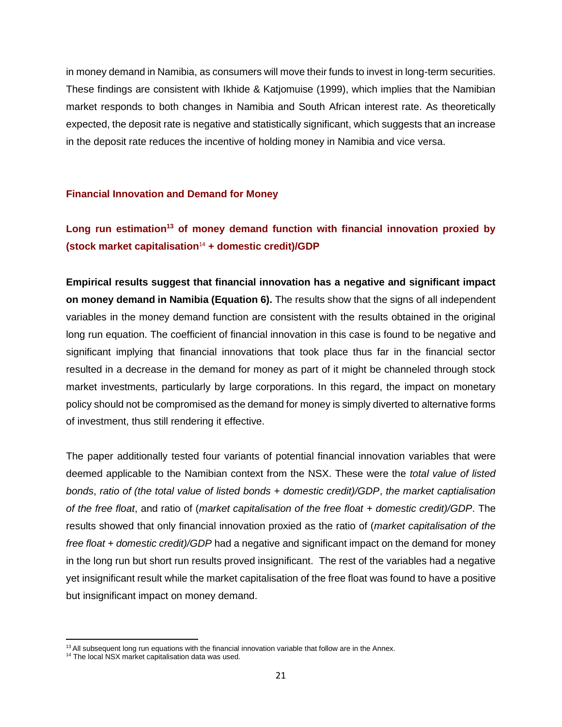in money demand in Namibia, as consumers will move their funds to invest in long-term securities. These findings are consistent with Ikhide & Katjomuise (1999), which implies that the Namibian market responds to both changes in Namibia and South African interest rate. As theoretically expected, the deposit rate is negative and statistically significant, which suggests that an increase in the deposit rate reduces the incentive of holding money in Namibia and vice versa.

### **Financial Innovation and Demand for Money**

# **Long run estimation<sup>13</sup> of money demand function with financial innovation proxied by (stock market capitalisation**<sup>14</sup> **+ domestic credit)/GDP**

**Empirical results suggest that financial innovation has a negative and significant impact on money demand in Namibia (Equation 6).** The results show that the signs of all independent variables in the money demand function are consistent with the results obtained in the original long run equation. The coefficient of financial innovation in this case is found to be negative and significant implying that financial innovations that took place thus far in the financial sector resulted in a decrease in the demand for money as part of it might be channeled through stock market investments, particularly by large corporations. In this regard, the impact on monetary policy should not be compromised as the demand for money is simply diverted to alternative forms of investment, thus still rendering it effective.

The paper additionally tested four variants of potential financial innovation variables that were deemed applicable to the Namibian context from the NSX. These were the *total value of listed bonds*, *ratio of (the total value of listed bonds + domestic credit)/GDP*, *the market captialisation of the free float*, and ratio of (*market capitalisation of the free float + domestic credit)/GDP*. The results showed that only financial innovation proxied as the ratio of (*market capitalisation of the free float + domestic credit)/GDP* had a negative and significant impact on the demand for money in the long run but short run results proved insignificant. The rest of the variables had a negative yet insignificant result while the market capitalisation of the free float was found to have a positive but insignificant impact on money demand.

<sup>&</sup>lt;sup>13</sup> All subsequent long run equations with the financial innovation variable that follow are in the Annex.

<sup>&</sup>lt;sup>14</sup> The local NSX market capitalisation data was used.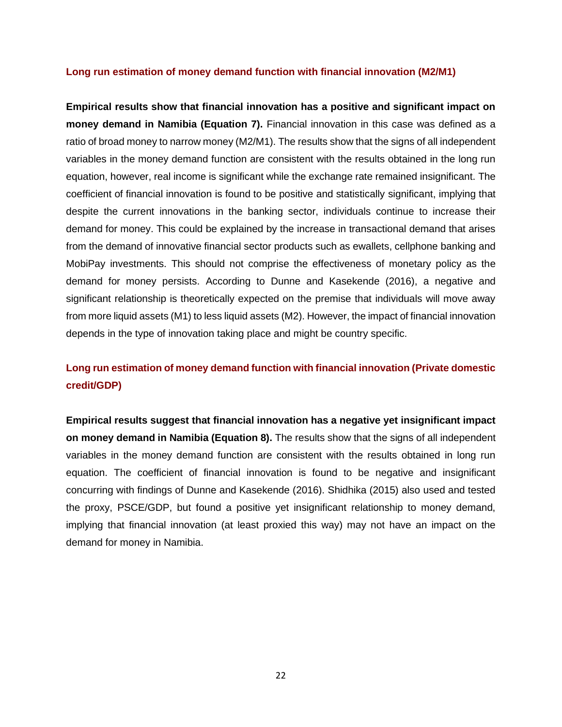### **Long run estimation of money demand function with financial innovation (M2/M1)**

**Empirical results show that financial innovation has a positive and significant impact on money demand in Namibia (Equation 7).** Financial innovation in this case was defined as a ratio of broad money to narrow money (M2/M1). The results show that the signs of all independent variables in the money demand function are consistent with the results obtained in the long run equation, however, real income is significant while the exchange rate remained insignificant. The coefficient of financial innovation is found to be positive and statistically significant, implying that despite the current innovations in the banking sector, individuals continue to increase their demand for money. This could be explained by the increase in transactional demand that arises from the demand of innovative financial sector products such as ewallets, cellphone banking and MobiPay investments. This should not comprise the effectiveness of monetary policy as the demand for money persists. According to Dunne and Kasekende (2016), a negative and significant relationship is theoretically expected on the premise that individuals will move away from more liquid assets (M1) to less liquid assets (M2). However, the impact of financial innovation depends in the type of innovation taking place and might be country specific.

# **Long run estimation of money demand function with financial innovation (Private domestic credit/GDP)**

**Empirical results suggest that financial innovation has a negative yet insignificant impact on money demand in Namibia (Equation 8).** The results show that the signs of all independent variables in the money demand function are consistent with the results obtained in long run equation. The coefficient of financial innovation is found to be negative and insignificant concurring with findings of Dunne and Kasekende (2016). Shidhika (2015) also used and tested the proxy, PSCE/GDP, but found a positive yet insignificant relationship to money demand, implying that financial innovation (at least proxied this way) may not have an impact on the demand for money in Namibia.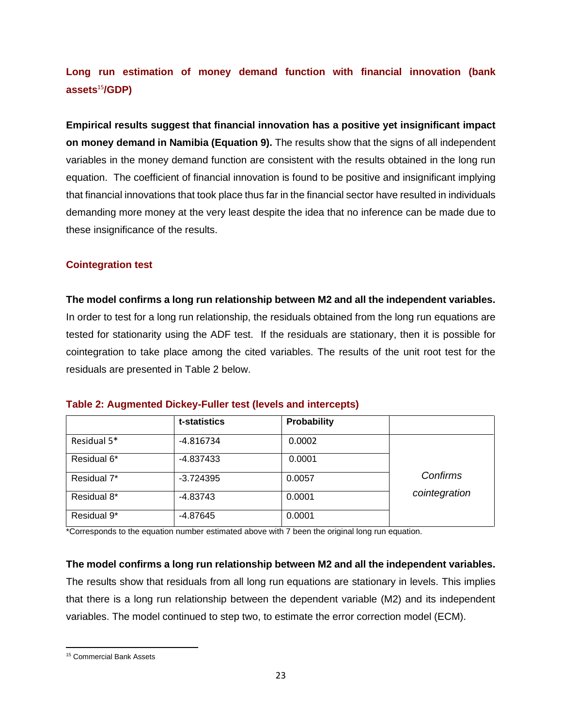# **Long run estimation of money demand function with financial innovation (bank assets**<sup>15</sup>**/GDP)**

**Empirical results suggest that financial innovation has a positive yet insignificant impact on money demand in Namibia (Equation 9).** The results show that the signs of all independent variables in the money demand function are consistent with the results obtained in the long run equation. The coefficient of financial innovation is found to be positive and insignificant implying that financial innovations that took place thus far in the financial sector have resulted in individuals demanding more money at the very least despite the idea that no inference can be made due to these insignificance of the results.

### **Cointegration test**

**The model confirms a long run relationship between M2 and all the independent variables.** In order to test for a long run relationship, the residuals obtained from the long run equations are tested for stationarity using the ADF test. If the residuals are stationary, then it is possible for cointegration to take place among the cited variables. The results of the unit root test for the residuals are presented in Table 2 below.

|             | t-statistics | Probability |               |
|-------------|--------------|-------------|---------------|
| Residual 5* | $-4.816734$  | 0.0002      |               |
| Residual 6* | -4.837433    | 0.0001      |               |
| Residual 7* | $-3.724395$  | 0.0057      | Confirms      |
| Residual 8* | $-4.83743$   | 0.0001      | cointegration |
| Residual 9* | -4.87645     | 0.0001      |               |

### **Table 2: Augmented Dickey-Fuller test (levels and intercepts)**

\*Corresponds to the equation number estimated above with 7 been the original long run equation.

### **The model confirms a long run relationship between M2 and all the independent variables.**

The results show that residuals from all long run equations are stationary in levels. This implies that there is a long run relationship between the dependent variable (M2) and its independent variables. The model continued to step two, to estimate the error correction model (ECM).

<sup>15</sup> Commercial Bank Assets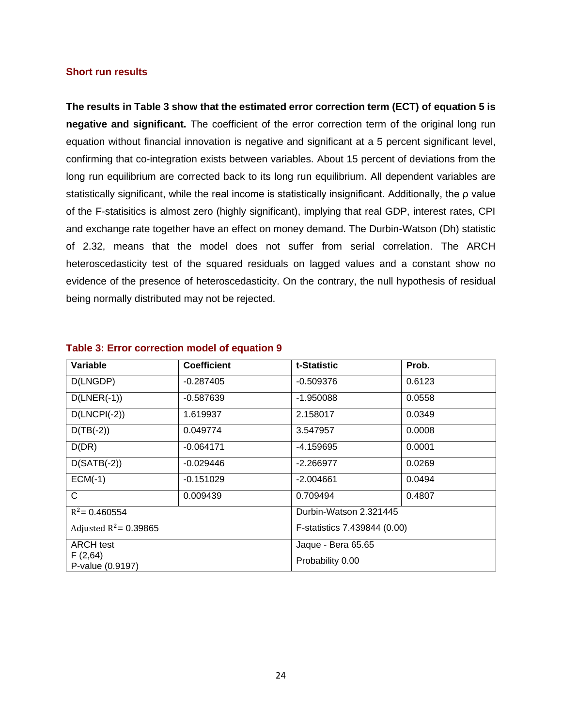#### **Short run results**

**The results in Table 3 show that the estimated error correction term (ECT) of equation 5 is negative and significant.** The coefficient of the error correction term of the original long run equation without financial innovation is negative and significant at a 5 percent significant level, confirming that co-integration exists between variables. About 15 percent of deviations from the long run equilibrium are corrected back to its long run equilibrium. All dependent variables are statistically significant, while the real income is statistically insignificant. Additionally, the ρ value of the F-statisitics is almost zero (highly significant), implying that real GDP, interest rates, CPI and exchange rate together have an effect on money demand. The Durbin-Watson (Dh) statistic of 2.32, means that the model does not suffer from serial correlation. The ARCH heteroscedasticity test of the squared residuals on lagged values and a constant show no evidence of the presence of heteroscedasticity. On the contrary, the null hypothesis of residual being normally distributed may not be rejected.

| Variable                    | <b>Coefficient</b> | t-Statistic                  | Prob.  |  |
|-----------------------------|--------------------|------------------------------|--------|--|
| D(LNGDP)                    | $-0.287405$        | $-0.509376$                  | 0.6123 |  |
| $D(LNER(-1))$               | $-0.587639$        | $-1.950088$                  | 0.0558 |  |
| $D(LNCH(-2))$               | 1.619937           | 2.158017                     | 0.0349 |  |
| $D(TB(-2))$                 | 0.049774           | 3.547957                     | 0.0008 |  |
| D(DR)                       | $-0.064171$        | -4.159695                    | 0.0001 |  |
| $D(SATB(-2))$               | $-0.029446$        | $-2.266977$                  | 0.0269 |  |
| $ECM(-1)$                   | $-0.151029$        | $-2.004661$                  | 0.0494 |  |
| C                           | 0.009439           | 0.709494                     | 0.4807 |  |
| $R^2$ = 0.460554            |                    | Durbin-Watson 2.321445       |        |  |
| Adjusted $R^2$ = 0.39865    |                    | F-statistics 7.439844 (0.00) |        |  |
| <b>ARCH test</b>            |                    | Jaque - Bera 65.65           |        |  |
| F(2,64)<br>P-value (0.9197) |                    | Probability 0.00             |        |  |

#### **Table 3: Error correction model of equation 9**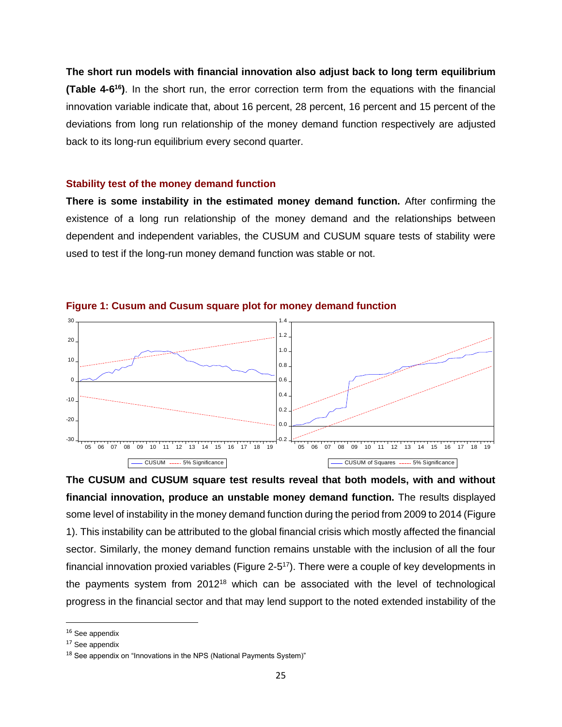**The short run models with financial innovation also adjust back to long term equilibrium (Table 4-6<sup>16</sup>)**. In the short run, the error correction term from the equations with the financial innovation variable indicate that, about 16 percent, 28 percent, 16 percent and 15 percent of the deviations from long run relationship of the money demand function respectively are adjusted back to its long-run equilibrium every second quarter.

### **Stability test of the money demand function**

**There is some instability in the estimated money demand function.** After confirming the existence of a long run relationship of the money demand and the relationships between dependent and independent variables, the CUSUM and CUSUM square tests of stability were used to test if the long-run money demand function was stable or not.



**Figure 1: Cusum and Cusum square plot for money demand function**

**The CUSUM and CUSUM square test results reveal that both models, with and without financial innovation, produce an unstable money demand function.** The results displayed some level of instability in the money demand function during the period from 2009 to 2014 (Figure 1). This instability can be attributed to the global financial crisis which mostly affected the financial sector. Similarly, the money demand function remains unstable with the inclusion of all the four financial innovation proxied variables (Figure 2-5<sup>17</sup>). There were a couple of key developments in the payments system from 2012<sup>18</sup> which can be associated with the level of technological progress in the financial sector and that may lend support to the noted extended instability of the

<sup>&</sup>lt;sup>16</sup> See appendix

 $17$  See appendix

<sup>&</sup>lt;sup>18</sup> See appendix on "Innovations in the NPS (National Payments System)"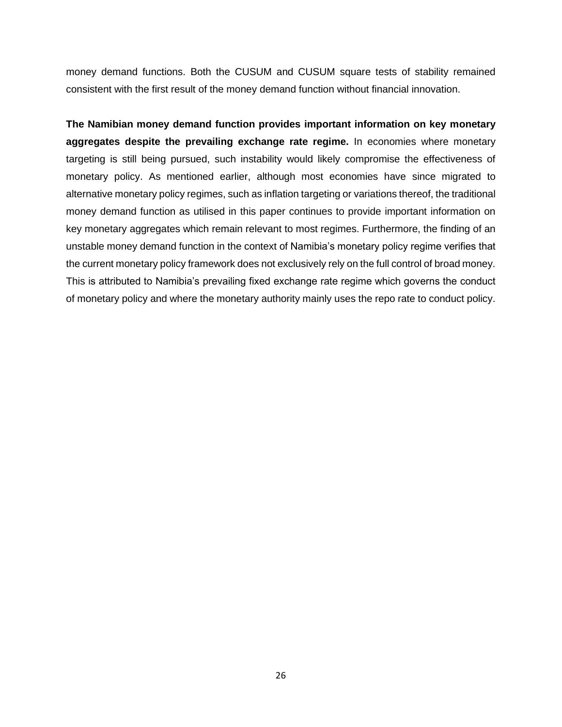money demand functions. Both the CUSUM and CUSUM square tests of stability remained consistent with the first result of the money demand function without financial innovation.

<span id="page-26-0"></span>**The Namibian money demand function provides important information on key monetary aggregates despite the prevailing exchange rate regime.** In economies where monetary targeting is still being pursued, such instability would likely compromise the effectiveness of monetary policy. As mentioned earlier, although most economies have since migrated to alternative monetary policy regimes, such as inflation targeting or variations thereof, the traditional money demand function as utilised in this paper continues to provide important information on key monetary aggregates which remain relevant to most regimes. Furthermore, the finding of an unstable money demand function in the context of Namibia's monetary policy regime verifies that the current monetary policy framework does not exclusively rely on the full control of broad money. This is attributed to Namibia's prevailing fixed exchange rate regime which governs the conduct of monetary policy and where the monetary authority mainly uses the repo rate to conduct policy.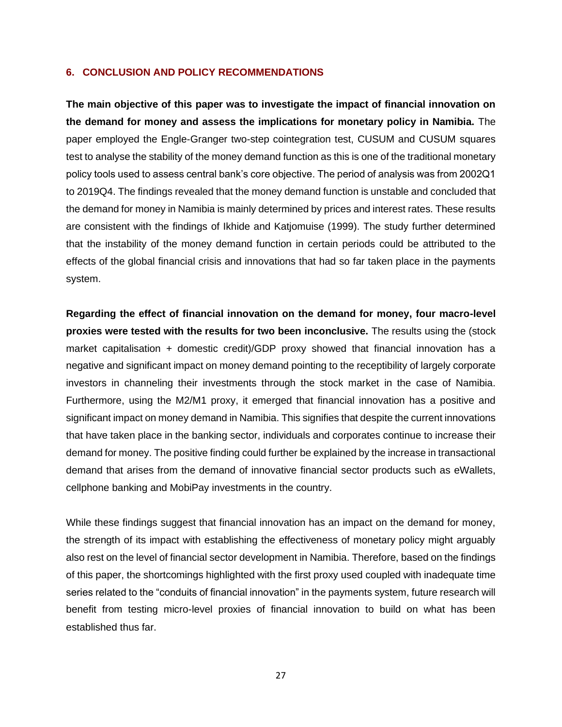### **6. CONCLUSION AND POLICY RECOMMENDATIONS**

**The main objective of this paper was to investigate the impact of financial innovation on the demand for money and assess the implications for monetary policy in Namibia.** The paper employed the Engle-Granger two-step cointegration test, CUSUM and CUSUM squares test to analyse the stability of the money demand function as this is one of the traditional monetary policy tools used to assess central bank's core objective. The period of analysis was from 2002Q1 to 2019Q4. The findings revealed that the money demand function is unstable and concluded that the demand for money in Namibia is mainly determined by prices and interest rates. These results are consistent with the findings of Ikhide and Katjomuise (1999). The study further determined that the instability of the money demand function in certain periods could be attributed to the effects of the global financial crisis and innovations that had so far taken place in the payments system.

**Regarding the effect of financial innovation on the demand for money, four macro-level proxies were tested with the results for two been inconclusive.** The results using the (stock market capitalisation + domestic credit)/GDP proxy showed that financial innovation has a negative and significant impact on money demand pointing to the receptibility of largely corporate investors in channeling their investments through the stock market in the case of Namibia. Furthermore, using the M2/M1 proxy, it emerged that financial innovation has a positive and significant impact on money demand in Namibia. This signifies that despite the current innovations that have taken place in the banking sector, individuals and corporates continue to increase their demand for money. The positive finding could further be explained by the increase in transactional demand that arises from the demand of innovative financial sector products such as eWallets, cellphone banking and MobiPay investments in the country.

While these findings suggest that financial innovation has an impact on the demand for money, the strength of its impact with establishing the effectiveness of monetary policy might arguably also rest on the level of financial sector development in Namibia. Therefore, based on the findings of this paper, the shortcomings highlighted with the first proxy used coupled with inadequate time series related to the "conduits of financial innovation" in the payments system, future research will benefit from testing micro-level proxies of financial innovation to build on what has been established thus far.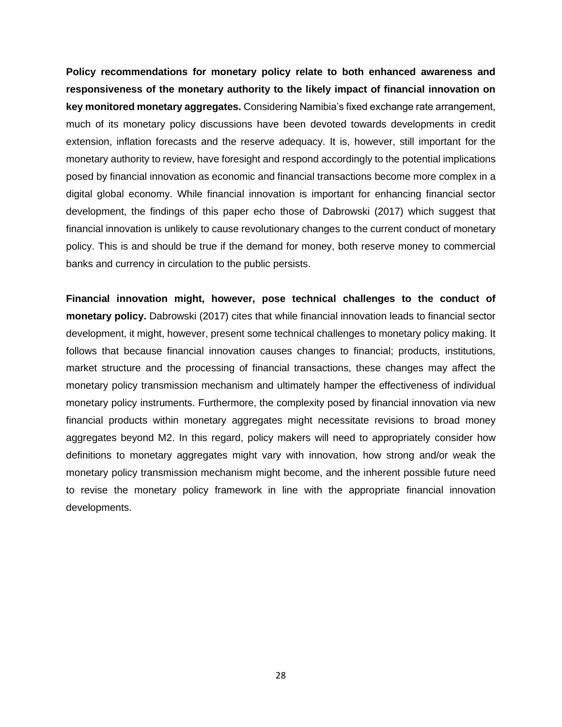**Policy recommendations for monetary policy relate to both enhanced awareness and responsiveness of the monetary authority to the likely impact of financial innovation on key monitored monetary aggregates.** Considering Namibia's fixed exchange rate arrangement, much of its monetary policy discussions have been devoted towards developments in credit extension, inflation forecasts and the reserve adequacy. It is, however, still important for the monetary authority to review, have foresight and respond accordingly to the potential implications posed by financial innovation as economic and financial transactions become more complex in a digital global economy. While financial innovation is important for enhancing financial sector development, the findings of this paper echo those of Dabrowski (2017) which suggest that financial innovation is unlikely to cause revolutionary changes to the current conduct of monetary policy. This is and should be true if the demand for money, both reserve money to commercial banks and currency in circulation to the public persists.

**Financial innovation might, however, pose technical challenges to the conduct of monetary policy.** Dabrowski (2017) cites that while financial innovation leads to financial sector development, it might, however, present some technical challenges to monetary policy making. It follows that because financial innovation causes changes to financial; products, institutions, market structure and the processing of financial transactions, these changes may affect the monetary policy transmission mechanism and ultimately hamper the effectiveness of individual monetary policy instruments. Furthermore, the complexity posed by financial innovation via new financial products within monetary aggregates might necessitate revisions to broad money aggregates beyond M2. In this regard, policy makers will need to appropriately consider how definitions to monetary aggregates might vary with innovation, how strong and/or weak the monetary policy transmission mechanism might become, and the inherent possible future need to revise the monetary policy framework in line with the appropriate financial innovation developments.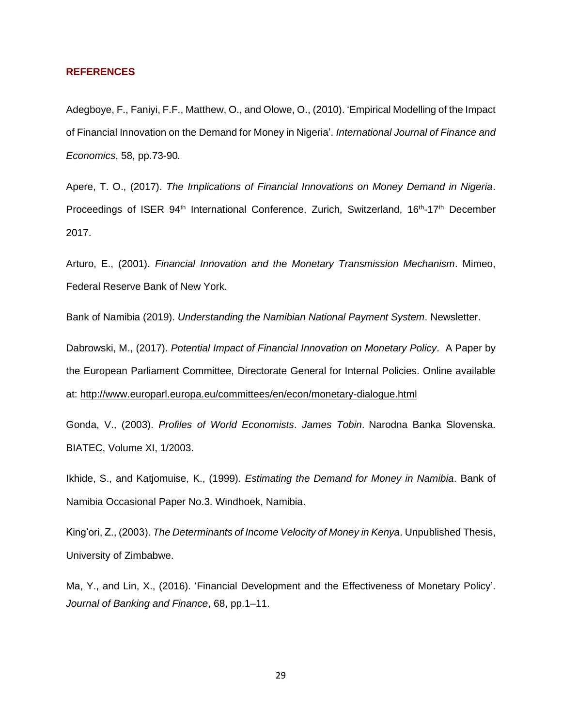#### **REFERENCES**

Adegboye, F., Faniyi, F.F., Matthew, O., and Olowe, O., (2010). 'Empirical Modelling of the Impact of Financial Innovation on the Demand for Money in Nigeria'. *International Journal of Finance and Economics*, 58, pp.73-90*.*

Apere, T. O., (2017). *The Implications of Financial Innovations on Money Demand in Nigeria*. Proceedings of ISER 94<sup>th</sup> International Conference, Zurich, Switzerland, 16<sup>th</sup>-17<sup>th</sup> December 2017.

Arturo, E., (2001). *Financial Innovation and the Monetary Transmission Mechanism*. Mimeo, Federal Reserve Bank of New York.

Bank of Namibia (2019). *Understanding the Namibian National Payment System*. Newsletter.

Dabrowski, M., (2017). *Potential Impact of Financial Innovation on Monetary Policy*. A Paper by the European Parliament Committee, Directorate General for Internal Policies. Online available at:<http://www.europarl.europa.eu/committees/en/econ/monetary-dialogue.html>

Gonda, V., (2003). *Profiles of World Economists*. *James Tobin*. Narodna Banka Slovenska. BIATEC, Volume XI, 1/2003.

Ikhide, S., and Katjomuise, K., (1999). *Estimating the Demand for Money in Namibia*. Bank of Namibia Occasional Paper No.3. Windhoek, Namibia.

King'ori, Z., (2003). *The Determinants of Income Velocity of Money in Kenya*. Unpublished Thesis, University of Zimbabwe.

Ma, Y., and Lin, X., (2016). 'Financial Development and the Effectiveness of Monetary Policy'. *Journal of Banking and Finance*, 68, pp.1–11.

29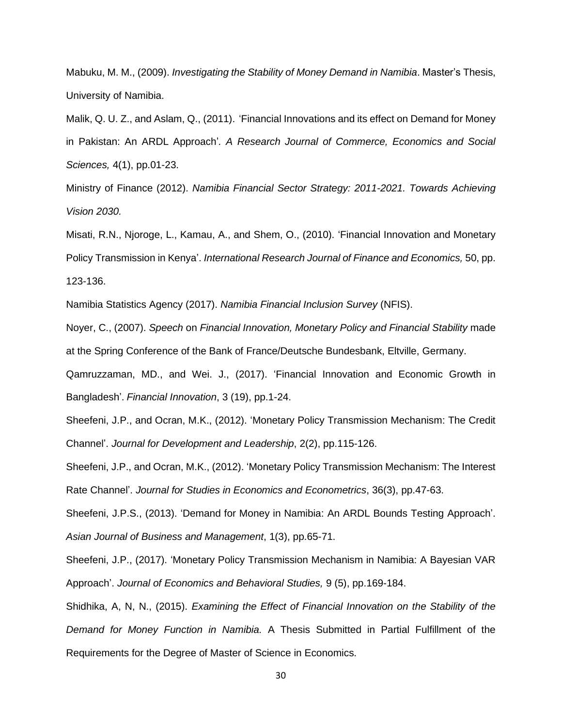Mabuku, M. M., (2009). *Investigating the Stability of Money Demand in Namibia*. Master's Thesis, University of Namibia.

Malik, Q. U. Z., and Aslam, Q., (2011). 'Financial Innovations and its effect on Demand for Money in Pakistan: An ARDL Approach'*. A Research Journal of Commerce, Economics and Social Sciences,* 4(1), pp.01-23.

Ministry of Finance (2012). *Namibia Financial Sector Strategy: 2011-2021. Towards Achieving Vision 2030.*

Misati, R.N., Njoroge, L., Kamau, A., and Shem, O., (2010). 'Financial Innovation and Monetary Policy Transmission in Kenya'. *International Research Journal of Finance and Economics,* 50, pp. 123-136.

Namibia Statistics Agency (2017). *Namibia Financial Inclusion Survey* (NFIS).

Noyer, C., (2007). *Speech* on *Financial Innovation, Monetary Policy and Financial Stability* made at the Spring Conference of the Bank of France/Deutsche Bundesbank, Eltville, Germany.

Qamruzzaman, MD., and Wei. J., (2017). 'Financial Innovation and Economic Growth in Bangladesh'. *Financial Innovation*, 3 (19), pp.1-24.

Sheefeni, J.P., and Ocran, M.K., (2012). 'Monetary Policy Transmission Mechanism: The Credit Channel'. *Journal for Development and Leadership*, 2(2), pp.115-126.

Sheefeni, J.P., and Ocran, M.K., (2012). 'Monetary Policy Transmission Mechanism: The Interest Rate Channel'. *Journal for Studies in Economics and Econometrics*, 36(3), pp.47-63.

Sheefeni, J.P.S., (2013). 'Demand for Money in Namibia: An ARDL Bounds Testing Approach'. *Asian Journal of Business and Management*, 1(3), pp.65-71.

Sheefeni, J.P., (2017). 'Monetary Policy Transmission Mechanism in Namibia: A Bayesian VAR Approach'. *Journal of Economics and Behavioral Studies,* 9 (5), pp.169-184.

Shidhika, A, N, N., (2015). *Examining the Effect of Financial Innovation on the Stability of the Demand for Money Function in Namibia.* A Thesis Submitted in Partial Fulfillment of the Requirements for the Degree of Master of Science in Economics.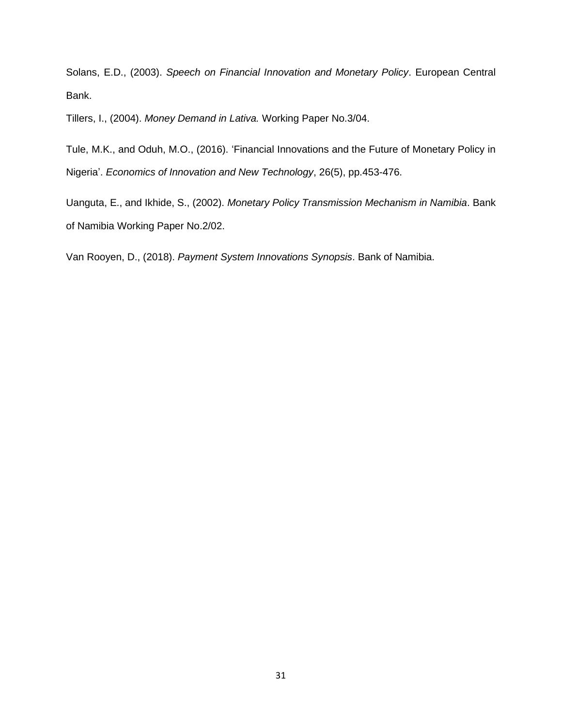Solans, E.D., (2003). *Speech on Financial Innovation and Monetary Policy*. European Central Bank.

Tillers, I., (2004). *Money Demand in Lativa.* Working Paper No.3/04.

Tule, M.K., and Oduh, M.O., (2016). 'Financial Innovations and the Future of Monetary Policy in Nigeria'. *Economics of Innovation and New Technology*, 26(5), pp.453-476.

Uanguta, E., and Ikhide, S., (2002). *Monetary Policy Transmission Mechanism in Namibia*. Bank of Namibia Working Paper No.2/02.

Van Rooyen, D., (2018). *Payment System Innovations Synopsis*. Bank of Namibia.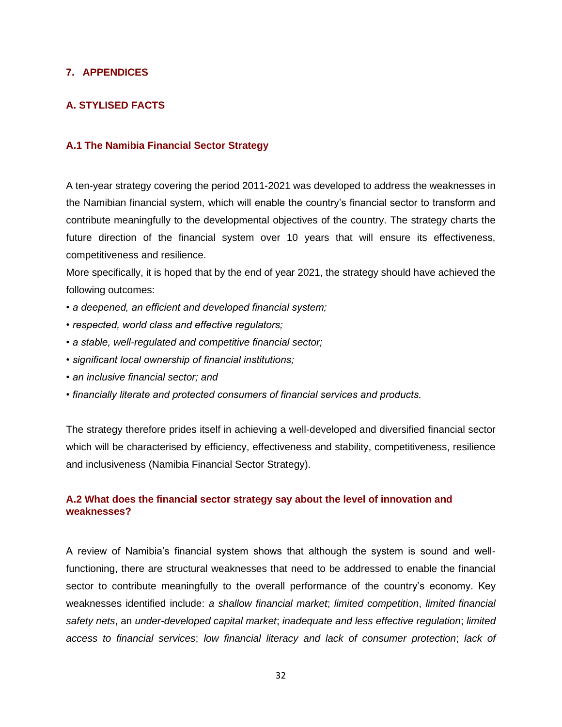### <span id="page-32-0"></span>**7. APPENDICES**

# **A. STYLISED FACTS**

### **A.1 The Namibia Financial Sector Strategy**

A ten-year strategy covering the period 2011-2021 was developed to address the weaknesses in the Namibian financial system, which will enable the country's financial sector to transform and contribute meaningfully to the developmental objectives of the country. The strategy charts the future direction of the financial system over 10 years that will ensure its effectiveness, competitiveness and resilience.

More specifically, it is hoped that by the end of year 2021, the strategy should have achieved the following outcomes:

- *a deepened, an efficient and developed financial system;*
- *respected, world class and effective regulators;*
- *a stable, well-regulated and competitive financial sector;*
- *significant local ownership of financial institutions;*
- *an inclusive financial sector; and*
- *financially literate and protected consumers of financial services and products.*

The strategy therefore prides itself in achieving a well-developed and diversified financial sector which will be characterised by efficiency, effectiveness and stability, competitiveness, resilience and inclusiveness (Namibia Financial Sector Strategy).

# **A.2 What does the financial sector strategy say about the level of innovation and weaknesses?**

A review of Namibia's financial system shows that although the system is sound and wellfunctioning, there are structural weaknesses that need to be addressed to enable the financial sector to contribute meaningfully to the overall performance of the country's economy. Key weaknesses identified include: *a shallow financial market*; *limited competition*, *limited financial safety nets*, an *under-developed capital market*; *inadequate and less effective regulation*; *limited access to financial services*; *low financial literacy and lack of consumer protection*; *lack of*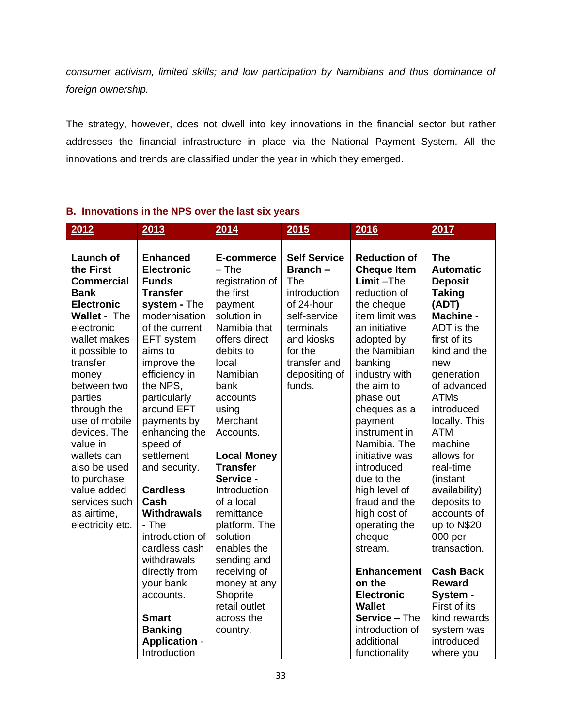*consumer activism, limited skills; and low participation by Namibians and thus dominance of foreign ownership.*

The strategy, however, does not dwell into key innovations in the financial sector but rather addresses the financial infrastructure in place via the National Payment System. All the innovations and trends are classified under the year in which they emerged.

# **B. Innovations in the NPS over the last six years**

| 2012                | 2013                 | 2014               | <b>2015</b>         | 2016                 | 2017             |
|---------------------|----------------------|--------------------|---------------------|----------------------|------------------|
|                     |                      |                    |                     |                      |                  |
| <b>Launch of</b>    | <b>Enhanced</b>      | E-commerce         | <b>Self Service</b> | <b>Reduction of</b>  | <b>The</b>       |
| the First           | <b>Electronic</b>    | $-$ The            | Branch -            | <b>Cheque Item</b>   | <b>Automatic</b> |
| <b>Commercial</b>   | <b>Funds</b>         | registration of    | The                 | $Limit$ –The         | <b>Deposit</b>   |
| <b>Bank</b>         | <b>Transfer</b>      | the first          | introduction        | reduction of         | <b>Taking</b>    |
| <b>Electronic</b>   | system - The         | payment            | of 24-hour          | the cheque           | (ADT)            |
| <b>Wallet - The</b> | modernisation        | solution in        | self-service        | item limit was       | <b>Machine -</b> |
| electronic          | of the current       | Namibia that       | terminals           | an initiative        | ADT is the       |
| wallet makes        | EFT system           | offers direct      | and kiosks          | adopted by           | first of its     |
| it possible to      | aims to              | debits to          | for the             | the Namibian         | kind and the     |
| transfer            | improve the          | local              | transfer and        | banking              | new              |
| money               | efficiency in        | Namibian           | depositing of       | industry with        | generation       |
| between two         | the NPS,             | bank               | funds.              | the aim to           | of advanced      |
| parties             | particularly         | accounts           |                     | phase out            | <b>ATMs</b>      |
| through the         | around EFT           | using              |                     | cheques as a         | introduced       |
| use of mobile       | payments by          | Merchant           |                     | payment              | locally. This    |
| devices. The        | enhancing the        | Accounts.          |                     | instrument in        | <b>ATM</b>       |
| value in            | speed of             |                    |                     | Namibia. The         | machine          |
| wallets can         | settlement           | <b>Local Money</b> |                     | initiative was       | allows for       |
| also be used        | and security.        | <b>Transfer</b>    |                     | introduced           | real-time        |
| to purchase         |                      | Service -          |                     | due to the           | (instant         |
| value added         | <b>Cardless</b>      | Introduction       |                     | high level of        | availability)    |
| services such       | Cash                 | of a local         |                     | fraud and the        | deposits to      |
| as airtime,         | <b>Withdrawals</b>   | remittance         |                     | high cost of         | accounts of      |
| electricity etc.    | - The                | platform. The      |                     | operating the        | up to N\$20      |
|                     | introduction of      | solution           |                     | cheque               | 000 per          |
|                     | cardless cash        | enables the        |                     | stream.              | transaction.     |
|                     | withdrawals          | sending and        |                     |                      |                  |
|                     | directly from        | receiving of       |                     | <b>Enhancement</b>   | <b>Cash Back</b> |
|                     | your bank            | money at any       |                     | on the               | <b>Reward</b>    |
|                     | accounts.            | Shoprite           |                     | <b>Electronic</b>    | System -         |
|                     |                      | retail outlet      |                     | <b>Wallet</b>        | First of its     |
|                     | <b>Smart</b>         | across the         |                     | <b>Service - The</b> | kind rewards     |
|                     | <b>Banking</b>       | country.           |                     | introduction of      | system was       |
|                     | <b>Application -</b> |                    |                     | additional           | introduced       |
|                     | Introduction         |                    |                     | functionality        | where you        |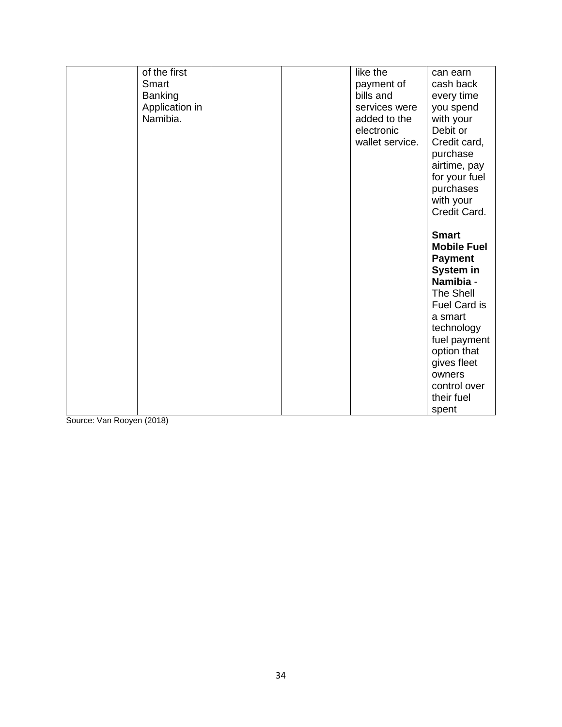| of the first   | like the        | can earn           |
|----------------|-----------------|--------------------|
| Smart          | payment of      | cash back          |
| <b>Banking</b> | bills and       | every time         |
| Application in | services were   | you spend          |
|                |                 |                    |
| Namibia.       | added to the    | with your          |
|                | electronic      | Debit or           |
|                | wallet service. | Credit card,       |
|                |                 | purchase           |
|                |                 | airtime, pay       |
|                |                 | for your fuel      |
|                |                 | purchases          |
|                |                 |                    |
|                |                 | with your          |
|                |                 | Credit Card.       |
|                |                 |                    |
|                |                 | <b>Smart</b>       |
|                |                 | <b>Mobile Fuel</b> |
|                |                 | <b>Payment</b>     |
|                |                 |                    |
|                |                 | System in          |
|                |                 | Namibia -          |
|                |                 | The Shell          |
|                |                 | Fuel Card is       |
|                |                 | a smart            |
|                |                 | technology         |
|                |                 | fuel payment       |
|                |                 |                    |
|                |                 | option that        |
|                |                 | gives fleet        |
|                |                 | owners             |
|                |                 | control over       |
|                |                 | their fuel         |
|                |                 | spent              |

Source: Van Rooyen (2018)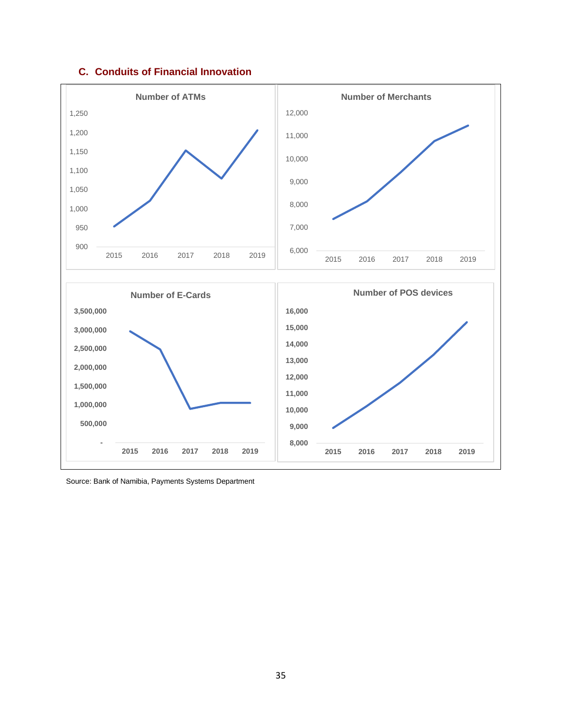### **C. Conduits of Financial Innovation**



Source: Bank of Namibia, Payments Systems Department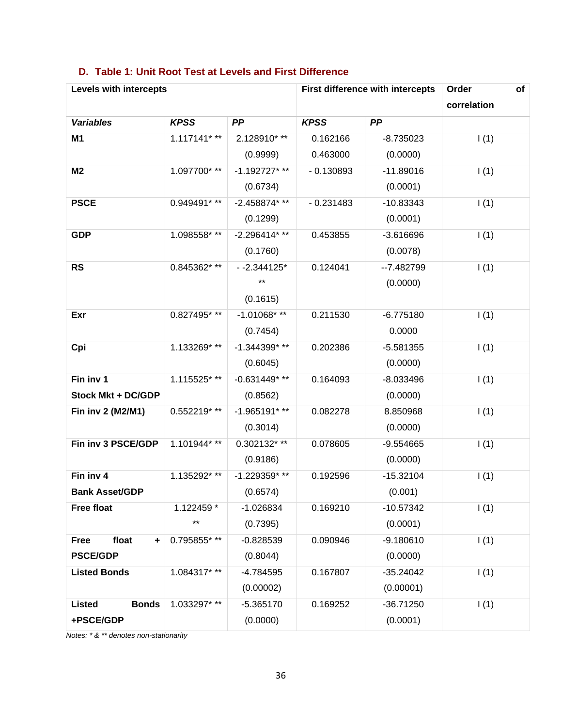| Levels with intercepts        |              |                 | First difference with intercepts | Order       | of          |  |
|-------------------------------|--------------|-----------------|----------------------------------|-------------|-------------|--|
|                               |              |                 |                                  |             | correlation |  |
| <b>Variables</b>              | <b>KPSS</b>  | PP              | <b>KPSS</b>                      | PP          |             |  |
| M <sub>1</sub>                | 1.117141***  | 2.128910***     | 0.162166                         | $-8.735023$ | 1(1)        |  |
|                               |              | (0.9999)        | 0.463000                         | (0.0000)    |             |  |
| M <sub>2</sub>                | 1.097700***  | $-1.192727$ *** | $-0.130893$                      | $-11.89016$ | 1(1)        |  |
|                               |              | (0.6734)        |                                  | (0.0001)    |             |  |
| <b>PSCE</b>                   | 0.949491***  | -2.458874***    | $-0.231483$                      | $-10.83343$ | 1(1)        |  |
|                               |              | (0.1299)        |                                  | (0.0001)    |             |  |
| <b>GDP</b>                    | 1.098558***  | -2.296414***    | 0.453855                         | $-3.616696$ | 1(1)        |  |
|                               |              | (0.1760)        |                                  | (0.0078)    |             |  |
| <b>RS</b>                     | 0.845362***  | $-2.344125*$    | 0.124041                         | $-7.482799$ | 1(1)        |  |
|                               |              | **              |                                  | (0.0000)    |             |  |
|                               |              | (0.1615)        |                                  |             |             |  |
| Exr                           | 0.827495***  | $-1.01068$ ***  | 0.211530                         | $-6.775180$ | 1(1)        |  |
|                               |              | (0.7454)        |                                  | 0.0000      |             |  |
| Cpi                           | 1.133269***  | -1.344399***    | 0.202386                         | $-5.581355$ | 1(1)        |  |
|                               |              | (0.6045)        |                                  | (0.0000)    |             |  |
| Fin inv 1                     | 1.115525***  | $-0.631449**$   | 0.164093                         | $-8.033496$ | 1(1)        |  |
| <b>Stock Mkt + DC/GDP</b>     |              | (0.8562)        |                                  | (0.0000)    |             |  |
| Fin inv 2 (M2/M1)             | 0.552219***  | $-1.965191***$  | 0.082278                         | 8.850968    | 1(1)        |  |
|                               |              | (0.3014)        |                                  | (0.0000)    |             |  |
| Fin inv 3 PSCE/GDP            | 1.101944***  | 0.302132***     | 0.078605                         | $-9.554665$ | 1(1)        |  |
|                               |              | (0.9186)        |                                  | (0.0000)    |             |  |
| Fin inv 4                     | 1.135292***  | -1.229359***    | 0.192596                         | $-15.32104$ | 1(1)        |  |
| <b>Bank Asset/GDP</b>         |              | (0.6574)        |                                  | (0.001)     |             |  |
| <b>Free float</b>             | 1.122459 *   | -1.026834       | 0.169210                         | $-10.57342$ | 1(1)        |  |
|                               | $***$        | (0.7395)        |                                  | (0.0001)    |             |  |
| float<br><b>Free</b><br>٠     | 0.795855* ** | $-0.828539$     | 0.090946                         | $-9.180610$ | 1(1)        |  |
| <b>PSCE/GDP</b>               |              | (0.8044)        |                                  | (0.0000)    |             |  |
| <b>Listed Bonds</b>           | 1.084317***  | $-4.784595$     | 0.167807                         | $-35.24042$ | 1(1)        |  |
|                               |              | (0.00002)       |                                  | (0.00001)   |             |  |
| <b>Bonds</b><br><b>Listed</b> | 1.033297***  | $-5.365170$     | 0.169252                         | $-36.71250$ | 1(1)        |  |
| +PSCE/GDP                     |              | (0.0000)        |                                  | (0.0001)    |             |  |

# **D. Table 1: Unit Root Test at Levels and First Difference**

*Notes: \* & \*\* denotes non-stationarity*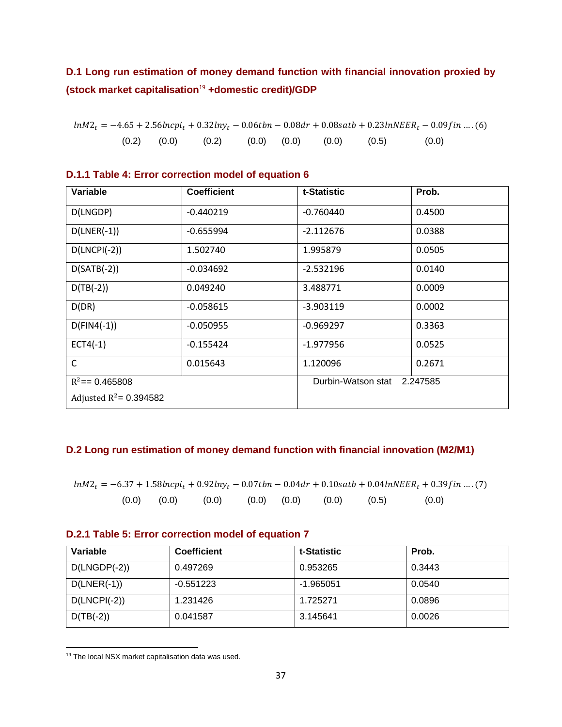# **D.1 Long run estimation of money demand function with financial innovation proxied by (stock market capitalisation**<sup>19</sup> **+domestic credit)/GDP**

| $ln M2_t = -4.65 + 2.56 ln c p_i + 0.32 ln y_t - 0.06 t b n - 0.08 d r + 0.08 s a t b + 0.23 ln N E E R_t - 0.09 f i n  (6)$ |  |  |                                                         |       |  |
|------------------------------------------------------------------------------------------------------------------------------|--|--|---------------------------------------------------------|-------|--|
|                                                                                                                              |  |  | $(0.2)$ $(0.0)$ $(0.2)$ $(0.0)$ $(0.0)$ $(0.0)$ $(0.5)$ | (0.0) |  |

| <b>Variable</b>           | <b>Coefficient</b> | t-Statistic        | Prob.    |
|---------------------------|--------------------|--------------------|----------|
|                           |                    |                    |          |
| D(LNGDP)                  | $-0.440219$        | $-0.760440$        | 0.4500   |
| $D(LNER(-1))$             | $-0.655994$        | $-2.112676$        | 0.0388   |
| $D(LNCH(-2))$             | 1.502740           | 1.995879           | 0.0505   |
| $D(SATB(-2))$             | $-0.034692$        | $-2.532196$        | 0.0140   |
| $D(TB(-2))$               | 0.049240           | 3.488771           | 0.0009   |
| D(DR)                     | $-0.058615$        | $-3.903119$        | 0.0002   |
| $D(FIN4(-1))$             | $-0.050955$        | $-0.969297$        | 0.3363   |
| $ECT4(-1)$                | $-0.155424$        | $-1.977956$        | 0.0525   |
| $\mathsf{C}$              | 0.015643           | 1.120096           | 0.2671   |
| $R^2 = 0.465808$          |                    | Durbin-Watson stat | 2.247585 |
| Adjusted $R^2$ = 0.394582 |                    |                    |          |

### **D.1.1 Table 4: Error correction model of equation 6**

### **D.2 Long run estimation of money demand function with financial innovation (M2/M1)**

 $ln M2_t = -6.37 + 1.58$ lncpi<sub>t</sub> + 0.92lny<sub>t</sub> – 0.07tbn – 0.04dr + 0.10satb + 0.04lnNEER<sub>t</sub> + 0.39fin .... (7)  $(0.0)$   $(0.0)$   $(0.0)$   $(0.0)$   $(0.0)$   $(0.0)$   $(0.0)$   $(0.5)$   $(0.0)$ 

### **D.2.1 Table 5: Error correction model of equation 7**

| Variable       | <b>Coefficient</b> | t-Statistic | Prob.  |
|----------------|--------------------|-------------|--------|
| $D(LNGDP(-2))$ | 0.497269           | 0.953265    | 0.3443 |
| $D(LNER(-1))$  | $-0.551223$        | $-1.965051$ | 0.0540 |
| $D(LNCH(-2))$  | 1.231426           | 1.725271    | 0.0896 |
| $D(TB(-2))$    | 0.041587           | 3.145641    | 0.0026 |

<sup>19</sup> The local NSX market capitalisation data was used.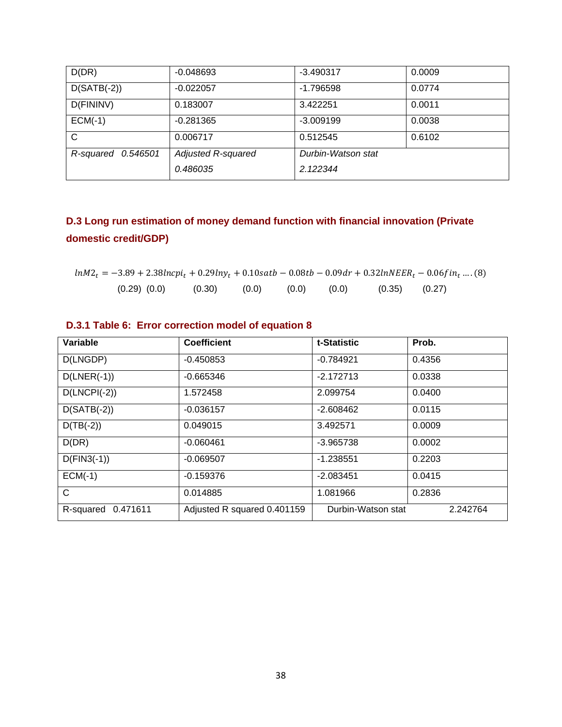| D(DR)              | $-0.048693$        | $-3.490317$        | 0.0009 |
|--------------------|--------------------|--------------------|--------|
| $D(SATB(-2))$      | $-0.022057$        | $-1.796598$        | 0.0774 |
| D(FININV)          | 0.183007           | 3.422251           | 0.0011 |
| $ECM(-1)$          | $-0.281365$        | $-3.009199$        | 0.0038 |
| C                  | 0.006717           | 0.512545           | 0.6102 |
| R-squared 0.546501 | Adjusted R-squared | Durbin-Watson stat |        |
|                    | 0.486035           | 2.122344           |        |
|                    |                    |                    |        |

# **D.3 Long run estimation of money demand function with financial innovation (Private domestic credit/GDP)**

|                  |                  |       |       |                   | $ln M2_t = -3.89 + 2.38ln cv_i + 0.29lny_t + 0.10s$ at $b - 0.08tb - 0.09dr + 0.32lnNEER_t - 0.06fin_t$ (8) |
|------------------|------------------|-------|-------|-------------------|-------------------------------------------------------------------------------------------------------------|
| $(0.29)$ $(0.0)$ | $(0.30)$ $(0.0)$ | (0.0) | (0.0) | $(0.35)$ $(0.27)$ |                                                                                                             |

| Variable        | <b>Coefficient</b> | t-Statistic | Prob.  |
|-----------------|--------------------|-------------|--------|
| D(LNGDP)        | $-0.450853$        | $-0.784921$ | 0.4356 |
| $D(LNER(-1))$   | -0.665346          | $-2.172713$ | 0.0338 |
| $D/I$ NCPI(-2)) | 1572458            | 2.099754    | n nanr |

# **D.3.1 Table 6: Error correction model of equation 8**

| D(LNGDP)              | $-0.450853$                 | $-0.784921$        | 0.4356   |
|-----------------------|-----------------------------|--------------------|----------|
| $D(LNER(-1))$         | $-0.665346$                 | $-2.172713$        | 0.0338   |
| $D(LNCH(-2))$         | 1.572458                    | 2.099754           | 0.0400   |
| $D(SATB(-2))$         | $-0.036157$                 | $-2.608462$        | 0.0115   |
| $D(TB(-2))$           | 0.049015                    | 3.492571           | 0.0009   |
| D(DR)                 | $-0.060461$                 | $-3.965738$        | 0.0002   |
| $D(FIN3(-1))$         | $-0.069507$                 | $-1.238551$        | 0.2203   |
| $ECM(-1)$             | $-0.159376$                 | $-2.083451$        | 0.0415   |
| $\mathsf{C}$          | 0.014885                    | 1.081966           | 0.2836   |
| 0.471611<br>R-squared | Adjusted R squared 0.401159 | Durbin-Watson stat | 2.242764 |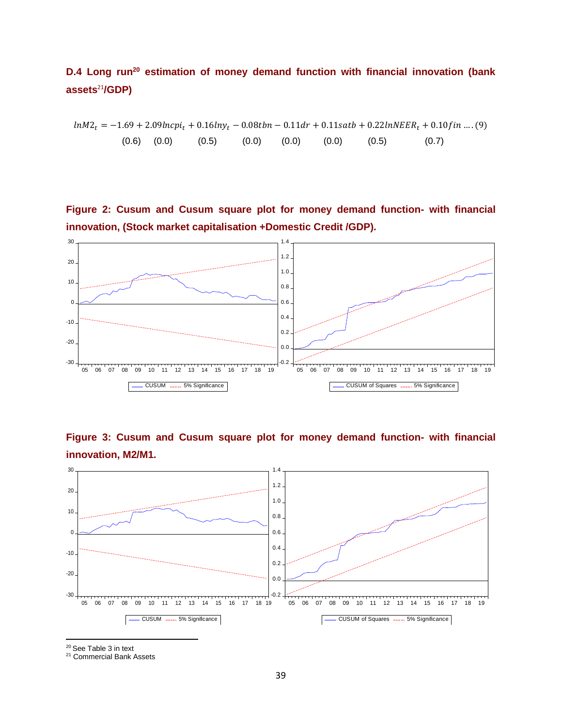# **D.4 Long run<sup>20</sup> estimation of money demand function with financial innovation (bank assets**<sup>21</sup>**/GDP)**

 $ln M2_t = -1.69 + 2.09 ln cpi_t + 0.16 ln y_t - 0.08 tbn - 0.11 dr + 0.11 satb + 0.22 ln NEER_t + 0.10 fin....(9)$  $(0.6)$   $(0.0)$   $(0.5)$   $(0.0)$   $(0.0)$   $(0.0)$   $(0.5)$   $(0.7)$ 

**Figure 2: Cusum and Cusum square plot for money demand function- with financial innovation, (Stock market capitalisation +Domestic Credit /GDP).**



**Figure 3: Cusum and Cusum square plot for money demand function- with financial innovation, M2/M1.**



<sup>20</sup> See Table 3 in text

<sup>21</sup> Commercial Bank Assets